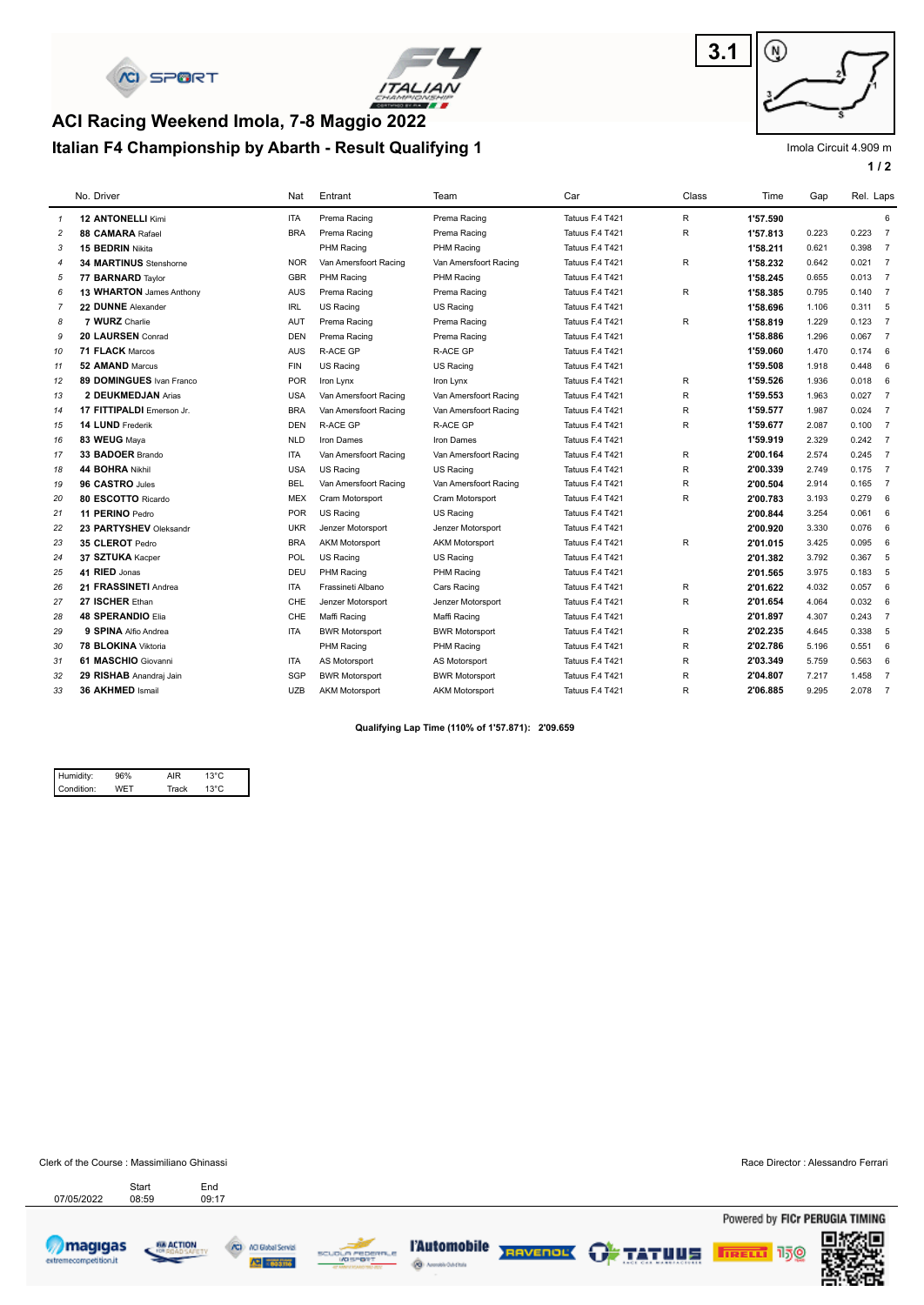



# **Italian F4 Championship by Abarth - Result Qualifying 1 ACI Racing Weekend Imola, 7-8 Maggio 2022**



Imola Circuit 4.909 m

**1 / 2**

|                | No. Driver                    | Nat        | Entrant               | Team                  | Car             | Class        | Time     | Gap   | Rel. Laps |                |
|----------------|-------------------------------|------------|-----------------------|-----------------------|-----------------|--------------|----------|-------|-----------|----------------|
| $\mathcal I$   | <b>12 ANTONELLI Kimi</b>      | <b>ITA</b> | Prema Racing          | Prema Racing          | Tatuus F.4 T421 | R.           | 1'57.590 |       |           | 6              |
| $\overline{c}$ | 88 CAMARA Rafael              | <b>BRA</b> | Prema Racing          | Prema Racing          | Tatuus F.4 T421 | R            | 1'57.813 | 0.223 | $0.223$ 7 |                |
| 3              | <b>15 BEDRIN Nikita</b>       |            | PHM Racing            | PHM Racing            | Tatuus F.4 T421 |              | 1'58.211 | 0.621 | 0.398 7   |                |
| $\overline{4}$ | <b>34 MARTINUS Stenshorne</b> | <b>NOR</b> | Van Amersfoort Racing | Van Amersfoort Racing | Tatuus F.4 T421 | R            | 1'58.232 | 0.642 | $0.021$ 7 |                |
| 5              | 77 BARNARD Taylor             | <b>GBR</b> | PHM Racing            | PHM Racing            | Tatuus F.4 T421 |              | 1'58.245 | 0.655 | $0.013$ 7 |                |
| 6              | 13 WHARTON James Anthony      | <b>AUS</b> | Prema Racing          | Prema Racing          | Tatuus F.4 T421 | R            | 1'58.385 | 0.795 | 0.140     | $\overline{7}$ |
| $\overline{7}$ | 22 DUNNE Alexander            | <b>IRL</b> | US Racing             | US Racing             | Tatuus F.4 T421 |              | 1'58.696 | 1.106 | $0.311$ 5 |                |
| 8              | 7 WURZ Charlie                | <b>AUT</b> | Prema Racing          | Prema Racing          | Tatuus F.4 T421 | R            | 1'58.819 | 1.229 | $0.123$ 7 |                |
| 9              | 20 LAURSEN Conrad             | <b>DEN</b> | Prema Racing          | Prema Racing          | Tatuus F.4 T421 |              | 1'58.886 | 1.296 | $0.067$ 7 |                |
| 10             | 71 FLACK Marcos               | <b>AUS</b> | <b>R-ACE GP</b>       | R-ACE GP              | Tatuus F.4 T421 |              | 1'59.060 | 1.470 | 0.174     | 6              |
| 11             | 52 AMAND Marcus               | <b>FIN</b> | US Racing             | US Racing             | Tatuus F.4 T421 |              | 1'59.508 | 1.918 | $0.448$ 6 |                |
| 12             | 89 DOMINGUES Ivan Franco      | <b>POR</b> | Iron Lynx             | Iron Lynx             | Tatuus F.4 T421 | R            | 1'59.526 | 1.936 | 0.018     | 6              |
| 13             | 2 DEUKMEDJAN Arias            | <b>USA</b> | Van Amersfoort Racing | Van Amersfoort Racing | Tatuus F.4 T421 | R            | 1'59.553 | 1.963 | 0.027     | $\overline{7}$ |
| 14             | 17 FITTIPALDI Emerson Jr.     | <b>BRA</b> | Van Amersfoort Racing | Van Amersfoort Racing | Tatuus F.4 T421 | R            | 1'59.577 | 1.987 | $0.024$ 7 |                |
| 15             | 14 LUND Frederik              | <b>DEN</b> | <b>R-ACE GP</b>       | R-ACE GP              | Tatuus F.4 T421 | R            | 1'59.677 | 2.087 | $0.100$ 7 |                |
| 16             | 83 WEUG Maya                  | <b>NLD</b> | Iron Dames            | Iron Dames            | Tatuus F.4 T421 |              | 1'59.919 | 2.329 | 0.242 7   |                |
| 17             | 33 BADOER Brando              | <b>ITA</b> | Van Amersfoort Racing | Van Amersfoort Racing | Tatuus F.4 T421 | $\mathsf R$  | 2'00.164 | 2.574 | $0.245$ 7 |                |
| 18             | 44 BOHRA Nikhil               | <b>USA</b> | US Racing             | US Racing             | Tatuus F.4 T421 | $\mathsf R$  | 2'00.339 | 2.749 | $0.175$ 7 |                |
| 19             | 96 CASTRO Jules               | <b>BEL</b> | Van Amersfoort Racing | Van Amersfoort Racing | Tatuus F.4 T421 | R            | 2'00.504 | 2.914 | $0.165$ 7 |                |
| 20             | 80 ESCOTTO Ricardo            | <b>MEX</b> | Cram Motorsport       | Cram Motorsport       | Tatuus F.4 T421 | $\mathsf R$  | 2'00.783 | 3.193 | 0.279     | 6              |
| 21             | 11 PERINO Pedro               | <b>POR</b> | US Racing             | US Racing             | Tatuus F.4 T421 |              | 2'00.844 | 3.254 | 0.061     | 6              |
| 22             | 23 PARTYSHEV Oleksandr        | <b>UKR</b> | Jenzer Motorsport     | Jenzer Motorsport     | Tatuus F.4 T421 |              | 2'00.920 | 3.330 | 0.076     | 6              |
| 23             | 35 CLEROT Pedro               | <b>BRA</b> | <b>AKM Motorsport</b> | <b>AKM Motorsport</b> | Tatuus F.4 T421 | $\mathsf R$  | 2'01.015 | 3.425 | 0.095     | 6              |
| 24             | 37 SZTUKA Kacper              | <b>POL</b> | US Racing             | US Racing             | Tatuus F.4 T421 |              | 2'01.382 | 3.792 | 0.367 5   |                |
| 25             | 41 RIED Jonas                 | DEU        | PHM Racing            | PHM Racing            | Tatuus F.4 T421 |              | 2'01.565 | 3.975 | 0.183     | 5              |
| 26             | 21 FRASSINETI Andrea          | <b>ITA</b> | Frassineti Albano     | Cars Racing           | Tatuus F.4 T421 | $\mathsf R$  | 2'01.622 | 4.032 | 0.057     | 6              |
| 27             | 27 ISCHER Ethan               | CHE        | Jenzer Motorsport     | Jenzer Motorsport     | Tatuus F.4 T421 | $\mathsf R$  | 2'01.654 | 4.064 | 0.032     | 6              |
| 28             | <b>48 SPERANDIO Elia</b>      | CHE        | Maffi Racing          | Maffi Racing          | Tatuus F.4 T421 |              | 2'01.897 | 4.307 | 0.243 7   |                |
| 29             | 9 SPINA Alfio Andrea          | <b>ITA</b> | <b>BWR Motorsport</b> | <b>BWR Motorsport</b> | Tatuus F.4 T421 | $\mathsf R$  | 2'02.235 | 4.645 | 0.338     | 5              |
| 30             | 78 BLOKINA Viktoria           |            | PHM Racing            | PHM Racing            | Tatuus F.4 T421 | $\mathsf R$  | 2'02.786 | 5.196 | 0.551     | 6              |
| 31             | 61 MASCHIO Giovanni           | <b>ITA</b> | AS Motorsport         | AS Motorsport         | Tatuus F.4 T421 | R            | 2'03.349 | 5.759 | 0.563     | 6              |
| 32             | 29 RISHAB Anandrai Jain       | SGP        | <b>BWR Motorsport</b> | <b>BWR Motorsport</b> | Tatuus F.4 T421 | $\mathsf{R}$ | 2'04.807 | 7.217 | 1.458     | $\overline{7}$ |
| 33             | 36 AKHMED Ismail              | <b>UZB</b> | <b>AKM Motorsport</b> | <b>AKM Motorsport</b> | Tatuus F.4 T421 | R            | 2'06.885 | 9.295 | 2.078     | $\overline{7}$ |

**Qualifying Lap Time (110% of 1'57.871): 2'09.659** 

| Humidity:  | 6% | AIR   |                |  |
|------------|----|-------|----------------|--|
| Condition: |    | Track | $13^{\circ}$ C |  |

Clerk of the Course : Massimiliano Ghinassi Race Director : Alessandro Ferrari Start

Start End<br>07/05/2022 08:59 09:17









ŵ,



**TRELL** 150

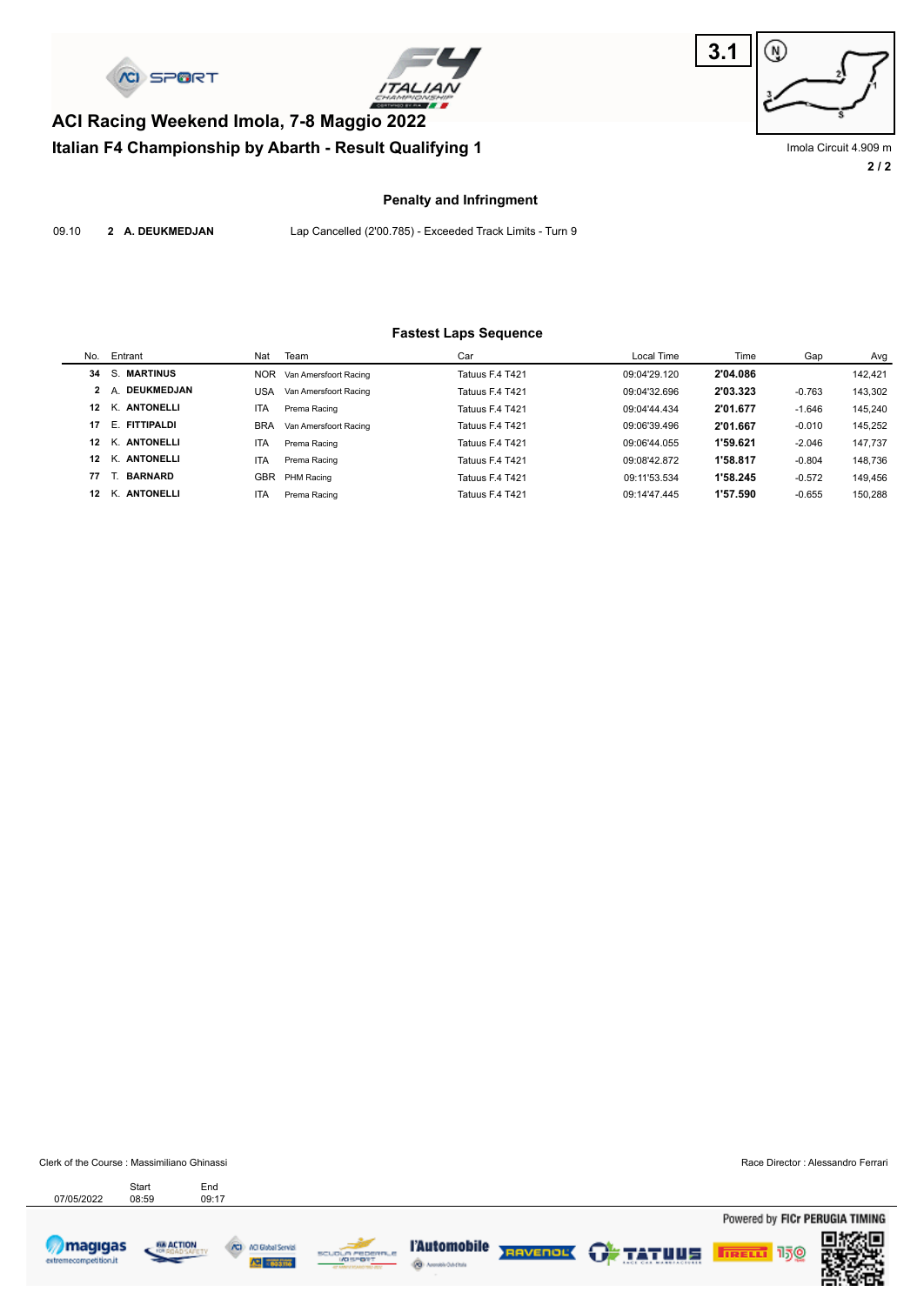

**Italian F4 Championship by Abarth - Result Qualifying 1**





**2 / 2** Imola Circuit 4.909 m

#### **Penalty and Infringment**

09.10 **2 A. DEUKMEDJAN** Lap Cancelled (2'00.785) - Exceeded Track Limits - Turn 9

#### **Fastest Laps Sequence**

| No.             | Entrant                 | Nat        | Team                  | Car             | Local Time   | Time     | Gap      | Avg     |
|-----------------|-------------------------|------------|-----------------------|-----------------|--------------|----------|----------|---------|
| 34              | S. MARTINUS             | <b>NOR</b> | Van Amersfoort Racing | Tatuus F.4 T421 | 09:04'29.120 | 2'04.086 |          | 142.421 |
|                 | DEUKMEDJAN<br>2 A       | USA        | Van Amersfoort Racing | Tatuus F.4 T421 | 09:04'32.696 | 2'03.323 | $-0.763$ | 143,302 |
| 12              | K. ANTONELLI            | <b>ITA</b> | Prema Racing          | Tatuus F.4 T421 | 09:04'44.434 | 2'01.677 | $-1.646$ | 145.240 |
| 17              | <b>FITTIPALDI</b><br>F. | <b>BRA</b> | Van Amersfoort Racing | Tatuus F.4 T421 | 09:06'39.496 | 2'01.667 | $-0.010$ | 145.252 |
| 12              | K. ANTONELLI            | <b>ITA</b> | Prema Racing          | Tatuus F.4 T421 | 09:06'44.055 | 1'59.621 | $-2.046$ | 147.737 |
| 12 <sub>2</sub> | K. ANTONELLI            | <b>ITA</b> | Prema Racing          | Tatuus F.4 T421 | 09:08'42.872 | 1'58.817 | $-0.804$ | 148.736 |
| 77              | <b>BARNARD</b>          | <b>GBR</b> | PHM Racing            | Tatuus F.4 T421 | 09:11'53.534 | 1'58.245 | $-0.572$ | 149.456 |
| 12              | K. ANTONELLI            | <b>ITA</b> | Prema Racing          | Tatuus F.4 T421 | 09:14'47.445 | 1'57.590 | $-0.655$ | 150.288 |

Clerk of the Course : Massimiliano Ghinassi Race Director : Alessandro Ferrari

Powered by FICr PERUGIA TIMING

150

**TRELL** 



extre

07/05/2022 08:59 09:17

Start End

68 ACTION









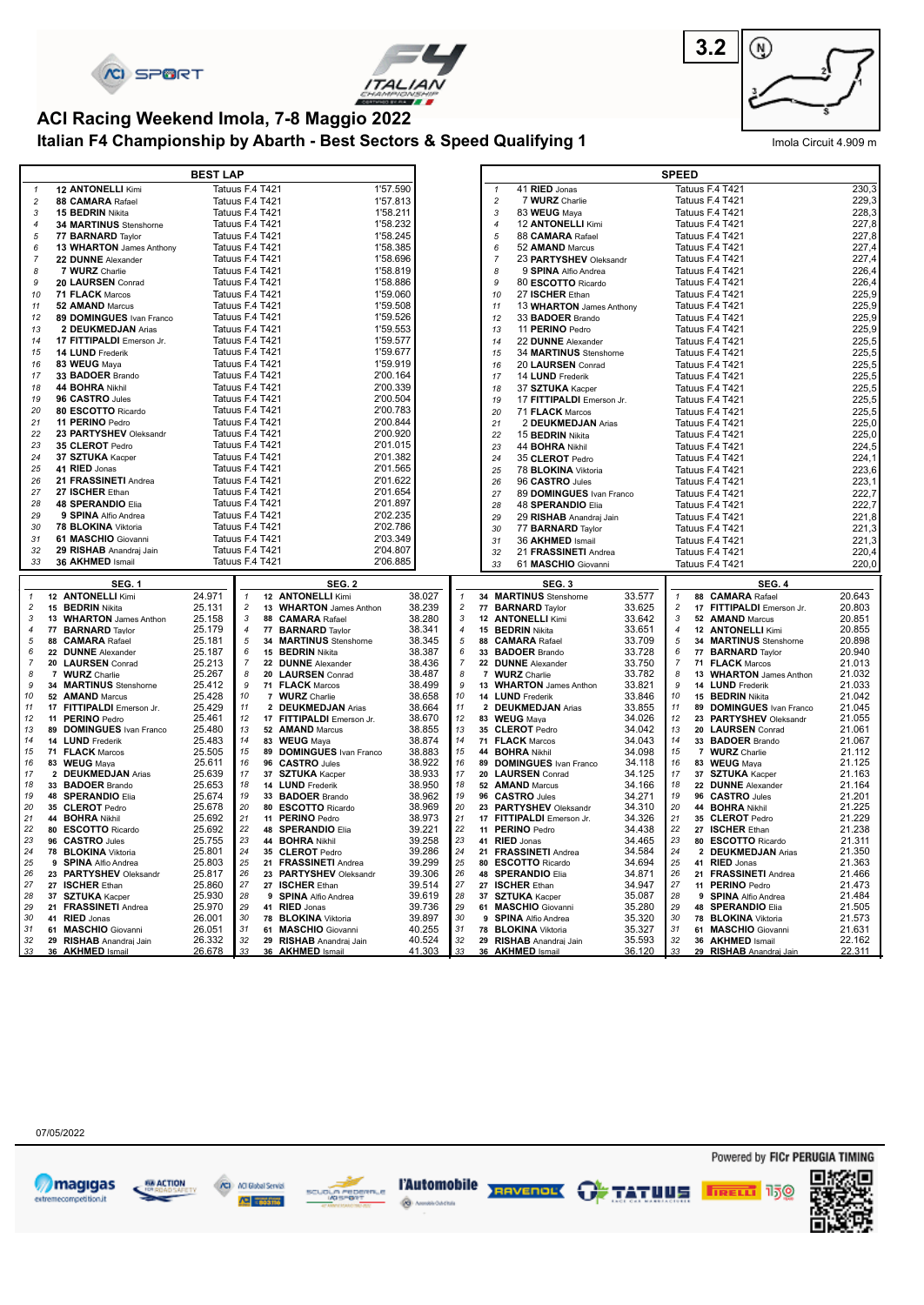





# **ACI Racing Weekend Imola, 7-8 Maggio 2022**

**Italian F4 Championship by Abarth - Best Sectors & Speed Qualifying 1** Imola Circuit 4.909 m

|                     |                                                | <b>BEST LAP</b>  |                                    |                                                |                  |                           |                     |                                                |                  | <b>SPEED</b>        |                                             |                  |
|---------------------|------------------------------------------------|------------------|------------------------------------|------------------------------------------------|------------------|---------------------------|---------------------|------------------------------------------------|------------------|---------------------|---------------------------------------------|------------------|
| $\mathbf{1}$        | <b>12 ANTONELLI Kimi</b>                       |                  | Tatuus F.4 T421                    | 1'57.590                                       |                  |                           | $\mathbf{1}$        | 41 RIED Jonas                                  |                  |                     | Tatuus F.4 T421                             | 230,3            |
| $\overline{c}$      | 88 CAMARA Rafael                               | Tatuus F.4 T421  |                                    | 1'57.813                                       |                  |                           | $\overline{c}$      | 7 WURZ Charlie                                 |                  |                     | Tatuus F.4 T421                             | 229,3            |
| 3                   | 15 BEDRIN Nikita                               | Tatuus F.4 T421  |                                    | 1'58.211                                       |                  |                           | $\sqrt{3}$          | 83 WEUG Maya                                   |                  |                     | Tatuus F.4 T421                             | 228,3            |
| $\overline{4}$      | 34 MARTINUS Stenshorne                         | Tatuus F.4 T421  |                                    | 1'58.232                                       |                  |                           | $\overline{4}$      | 12 ANTONELLI Kimi                              |                  |                     | Tatuus F.4 T421                             | 227,8            |
| $\sqrt{5}$          | 77 BARNARD Taylor                              | Tatuus F.4 T421  |                                    | 1'58.245                                       |                  |                           | 5                   | 88 CAMARA Rafael                               |                  |                     | Tatuus F.4 T421                             | 227,8            |
| 6<br>$\overline{7}$ | 13 WHARTON James Anthony                       | Tatuus F.4 T421  | Tatuus F.4 T421                    | 1'58.385<br>1'58.696                           |                  |                           | 6<br>$\overline{7}$ | 52 AMAND Marcus                                |                  |                     | Tatuus F.4 T421<br>Tatuus F.4 T421          | 227,4<br>227,4   |
| 8                   | 22 DUNNE Alexander<br>7 WURZ Charlie           |                  | Tatuus F.4 T421                    | 1'58.819                                       |                  |                           | 8                   | 23 PARTYSHEV Oleksandr<br>9 SPINA Alfio Andrea |                  |                     | Tatuus F.4 T421                             | 226,4            |
| 9                   | 20 LAURSEN Conrad                              | Tatuus F.4 T421  |                                    | 1'58.886                                       |                  |                           | 9                   | 80 ESCOTTO Ricardo                             |                  |                     | Tatuus F.4 T421                             | 226,4            |
| 10                  | 71 FLACK Marcos                                | Tatuus F.4 T421  |                                    | 1'59.060                                       |                  |                           | 10                  | 27 ISCHER Ethan                                |                  |                     | Tatuus F.4 T421                             | 225,9            |
| 11                  | 52 AMAND Marcus                                | Tatuus F.4 T421  |                                    | 1'59.508                                       |                  |                           | 11                  | 13 WHARTON James Anthony                       |                  |                     | Tatuus F.4 T421                             | 225,9            |
| 12                  | 89 DOMINGUES Ivan Franco                       | Tatuus F.4 T421  |                                    | 1'59.526                                       |                  |                           | 12                  | 33 BADOER Brando                               |                  |                     | Tatuus F.4 T421                             | 225,9            |
| 13                  | 2 DEUKMEDJAN Arias                             |                  | Tatuus F.4 T421                    | 1'59.553                                       |                  |                           | 13                  | 11 PERINO Pedro                                |                  |                     | Tatuus F.4 T421                             | 225,9            |
| 14                  | 17 FITTIPALDI Emerson Jr.                      | Tatuus F.4 T421  |                                    | 1'59.577                                       |                  |                           | 14                  | 22 DUNNE Alexander                             |                  |                     | Tatuus F.4 T421                             | 225,5            |
| 15                  | 14 LUND Frederik                               |                  | Tatuus F.4 T421                    | 1'59.677                                       |                  |                           | 15                  | 34 MARTINUS Stenshorne                         |                  |                     | Tatuus F.4 T421                             | 225,5            |
| 16                  | 83 WEUG Maya                                   | Tatuus F.4 T421  |                                    | 1'59.919                                       |                  |                           | 16                  | 20 LAURSEN Conrad                              |                  |                     | Tatuus F.4 T421                             | 225,5            |
| 17                  | 33 BADOER Brando                               |                  | Tatuus F.4 T421                    | 2'00.164                                       |                  |                           | 17                  | 14 LUND Frederik                               |                  |                     | Tatuus F.4 T421                             | 225,5            |
| 18                  | 44 BOHRA Nikhil                                |                  | Tatuus F.4 T421                    | 2'00.339                                       |                  |                           | 18                  | 37 SZTUKA Kacper                               |                  |                     | Tatuus F.4 T421                             | 225,5            |
| 19                  | 96 CASTRO Jules                                | Tatuus F.4 T421  |                                    | 2'00.504                                       |                  |                           | 19                  | 17 FITTIPALDI Emerson Jr.                      |                  |                     | Tatuus F.4 T421                             | 225,5            |
| 20                  | 80 ESCOTTO Ricardo                             |                  | Tatuus F.4 T421                    | 2'00.783                                       |                  |                           | 20                  | 71 FLACK Marcos                                |                  |                     | Tatuus F.4 T421                             | 225,5            |
| 21<br>22            | 11 PERINO Pedro<br>23 PARTYSHEV Oleksandr      |                  | Tatuus F.4 T421<br>Tatuus F.4 T421 | 2'00.844<br>2'00.920                           |                  |                           | 21                  | 2 DEUKMEDJAN Arias                             |                  |                     | Tatuus F.4 T421                             | 225,0            |
| 23                  | 35 CLEROT Pedro                                |                  | Tatuus F.4 T421                    | 2'01.015                                       |                  |                           | 22                  | 15 <b>BEDRIN</b> Nikita                        |                  |                     | Tatuus F.4 T421                             | 225,0<br>224,5   |
| 24                  | 37 SZTUKA Kacper                               | Tatuus F.4 T421  |                                    | 2'01.382                                       |                  |                           | 23<br>24            | 44 <b>BOHRA</b> Nikhil<br>35 CLEROT Pedro      |                  |                     | Tatuus F.4 T421<br>Tatuus F.4 T421          | 224,1            |
| 25                  | 41 RIED Jonas                                  | Tatuus F.4 T421  |                                    | 2'01.565                                       |                  |                           | 25                  | 78 BLOKINA Viktoria                            |                  |                     | Tatuus F.4 T421                             | 223,6            |
| 26                  | 21 FRASSINETI Andrea                           | Tatuus F.4 T421  |                                    | 2'01.622                                       |                  |                           | 26                  | 96 CASTRO Jules                                |                  |                     | Tatuus F.4 T421                             | 223,1            |
| 27                  | 27 ISCHER Ethan                                |                  | Tatuus F.4 T421                    | 2'01.654                                       |                  |                           | 27                  | 89 DOMINGUES Ivan Franco                       |                  |                     | Tatuus F.4 T421                             | 222,7            |
| 28                  | <b>48 SPERANDIO Elia</b>                       | Tatuus F.4 T421  |                                    | 2'01.897                                       |                  |                           | 28                  | 48 SPERANDIO Elia                              |                  |                     | Tatuus F.4 T421                             | 222,7            |
| 29                  | 9 SPINA Alfio Andrea                           |                  | Tatuus F.4 T421                    | 2'02.235                                       |                  |                           | 29                  | 29 RISHAB Anandraj Jain                        |                  |                     | Tatuus F.4 T421                             | 221,8            |
| 30                  | 78 BLOKINA Viktoria                            | Tatuus F.4 T421  |                                    | 2'02.786                                       |                  |                           | 30                  | 77 <b>BARNARD</b> Taylor                       |                  |                     | Tatuus F.4 T421                             | 221,3            |
| 31                  | 61 MASCHIO Giovanni                            | Tatuus F.4 T421  |                                    | 2'03.349                                       |                  |                           | 31                  | 36 AKHMED Ismail                               |                  |                     | Tatuus F.4 T421                             | 221,3            |
| 32                  | 29 RISHAB Anandraj Jain                        | Tatuus F.4 T421  |                                    | 2'04.807                                       |                  |                           | 32                  | 21 FRASSINETI Andrea                           |                  |                     | Tatuus F.4 T421                             | 220,4            |
|                     |                                                |                  |                                    |                                                |                  |                           |                     |                                                |                  |                     |                                             |                  |
| 33                  | 36 AKHMED Ismail                               | Tatuus F.4 T421  |                                    | 2'06.885                                       |                  |                           | 33                  | 61 MASCHIO Giovanni                            |                  |                     | Tatuus F.4 T421                             | 220,0            |
|                     | <b>SEG. 1</b>                                  |                  |                                    | SEG. 2                                         |                  |                           |                     | SEG.3                                          |                  |                     | <b>SEG. 4</b>                               |                  |
| $\mathbf{1}$        | 12 ANTONELLI Kimi                              | 24.971           | $\mathbf{1}$                       | 12 ANTONELLI Kimi                              | 38.027           | $\mathbf{1}$              |                     | 34 MARTINUS Stenshorne                         | 33.577           |                     | 88 CAMARA Rafael                            | 20.643           |
| $\overline{c}$      | 15 BEDRIN Nikita                               | 25.131           | $\overline{c}$                     | 13 WHARTON James Anthon                        | 38.239           | $\overline{c}$            |                     | 77 BARNARD Taylor                              | 33.625           | $\overline{c}$      | 17 FITTIPALDI Emerson Jr.                   | 20.803           |
| $\mathbf{3}$        | 13 WHARTON James Anthon                        | 25.158           | 3                                  | 88 CAMARA Rafael                               | 38.280           | $\ensuremath{\mathsf{3}}$ |                     | 12 ANTONELLI Kimi                              | 33.642           | 3                   | 52 AMAND Marcus                             | 20.851           |
| $\overline{4}$      | 77 <b>BARNARD</b> Taylor                       | 25.179           | $\overline{4}$                     | 77 <b>BARNARD</b> Taylor                       | 38.341           | $\overline{4}$            |                     | 15 <b>BEDRIN</b> Nikita                        | 33.651           | $\overline{4}$      | 12 ANTONELLI Kimi                           | 20.855           |
| 5                   | 88 CAMARA Rafael                               | 25.181           | 5                                  | 34 MARTINUS Stenshorne                         | 38.345           | 5                         |                     | 88 CAMARA Rafael                               | 33.709           | 5                   | 34 MARTINUS Stenshorne                      | 20.898           |
| 6<br>$\overline{7}$ | 22 DUNNE Alexander                             | 25.187           | 6<br>$\overline{7}$                | 15 <b>BEDRIN</b> Nikita                        | 38.387           | 6<br>$\overline{7}$       |                     | 33 BADOER Brando                               | 33.728           | 6<br>$\overline{7}$ | 77 <b>BARNARD</b> Taylor                    | 20.940           |
| 8                   | 20 LAURSEN Conrad<br>7 WURZ Charlie            | 25.213<br>25.267 | 8                                  | 22 DUNNE Alexander                             | 38.436<br>38.487 | 8                         |                     | 22 DUNNE Alexander<br>7 WURZ Charlie           | 33.750           | 8                   | 71 FLACK Marcos                             | 21.013<br>21.032 |
| 9                   | 34 MARTINUS Stenshorne                         | 25.412           | 9                                  | 20 LAURSEN Conrad<br>71 FLACK Marcos           | 38.499           | 9                         |                     | 13 WHARTON James Anthon                        | 33.782<br>33.821 | 9                   | 13 WHARTON James Anthon<br>14 LUND Frederik | 21.033           |
| 10                  | 52 AMAND Marcus                                | 25.428           | 10                                 | 7 WURZ Charlie                                 | 38.658           | 10                        |                     | 14 LUND Frederik                               | 33.846           | 10                  | 15 <b>BEDRIN</b> Nikita                     | 21.042           |
| 11                  | 17 FITTIPALDI Emerson Jr.                      | 25.429           | 11                                 | 2 DEUKMEDJAN Arias                             | 38.664           | 11                        |                     | 2 DEUKMEDJAN Arias                             | 33.855           | 11                  | 89 DOMINGUES Ivan Franco                    | 21.045           |
| 12                  | 11 PERINO Pedro                                | 25.461           | 12                                 | 17 FITTIPALDI Emerson Jr.                      | 38.670           | 12                        |                     | 83 WEUG Mava                                   | 34.026           | 12                  | 23 PARTYSHEV Oleksandr                      | 21.055           |
| 13                  | 89 DOMINGUES Ivan Franco                       | 25.480           | 13                                 | 52 AMAND Marcus                                | 38.855           | 13                        |                     | 35 CLEROT Pedro                                | 34.042           | 13                  | 20 LAURSEN Conrad                           | 21.061           |
| 14                  | 14 LUND Frederik                               | 25.483           | $14$                               | 83 WEUG Maya                                   | 38.874           | 14                        |                     | 71 FLACK Marcos                                | 34.043           | 14                  | 33 BADOER Brando                            | 21.067           |
| 15<br>16            | 71 FLACK Marcos                                | 25.505           | 15<br>16                           | 89 DOMINGUES Ivan Franco                       | 38.883<br>38.922 | 15<br>16                  |                     | 44 BOHRA Nikhil                                | 34.098<br>34.118 | 15<br>16            | 7 WURZ Charlie                              | 21.112<br>21.125 |
| 17                  | 83 WEUG Maya<br>2 DEUKMEDJAN Arias             | 25.611<br>25.639 | 17                                 | 96 CASTRO Jules                                | 38.933           | 17                        |                     | 89 DOMINGUES Ivan Franco<br>20 LAURSEN Conrad  | 34.125           | 17                  | 83 WEUG Mava                                | 21.163           |
| 18                  | 33 BADOER Brando                               | 25.653           | 18                                 | 37 SZTUKA Kacper<br>14 LUND Frederik           | 38.950           | 18                        |                     | 52 AMAND Marcus                                | 34.166           | 18                  | 37 SZTUKA Kacper<br>22 DUNNE Alexander      | 21.164           |
| 19                  | 48 SPERANDIO Elia                              | 25.674           | 19                                 | 33 BADOER Brando                               | 38.962           | 19                        |                     | 96 CASTRO Jules                                | 34.271           | 19                  | 96 CASTRO Jules                             | 21.201           |
| 20                  | 35 CLEROT Pedro                                | 25.678           | 20                                 | 80 ESCOTTO Ricardo                             | 38.969           | 20                        |                     | 23 PARTYSHEV Oleksandr                         | 34.310           | 20                  | 44 BOHRA Nikhil                             | 21.225           |
| 21                  | 44 BOHRA Nikhil                                | 25.692           | 21                                 | 11 PERINO Pedro                                | 38.973           | 21                        |                     | 17 FITTIPALDI Emerson Jr.                      | 34.326           | 21                  | 35 CLEROT Pedro                             | 21.229           |
| 22                  | 80 ESCOTTO Ricardo                             | 25.692           | 22                                 | 48 SPERANDIO Elia                              | 39.221           | 22                        |                     | 11 PERINO Pedro                                | 34.438           | 22                  | 27 ISCHER Ethan                             | 21.238           |
| 23                  | 96 CASTRO Jules                                | 25.755           | 23                                 | 44 BOHRA Nikhil                                | 39.258           | 23                        |                     | 41 RIED Jonas                                  | 34.465           | 23                  | 80 ESCOTTO Ricardo                          | 21.311           |
| 24<br>25            | 78 BLOKINA Viktoria<br>9 SPINA Alfio Andrea    | 25.801<br>25.803 | 24<br>25                           | 35 CLEROT Pedro<br>21 FRASSINETI Andrea        | 39.286<br>39.299 | 24<br>25                  |                     | 21 FRASSINETI Andrea<br>80 ESCOTTO Ricardo     | 34.584<br>34.694 | 24<br>25            | 2 DEUKMEDJAN Arias<br>41 RIED Jonas         | 21.350<br>21.363 |
| 26                  | 23 PARTYSHEV Oleksandr                         | 25.817           | 26                                 | 23 PARTYSHEV Oleksandr                         | 39.306           | 26                        |                     | 48 SPERANDIO Elia                              | 34.871           | 26                  | 21 FRASSINETI Andrea                        | 21.466           |
| 27                  | 27 ISCHER Ethan                                | 25.860           | 27                                 | 27 ISCHER Ethan                                | 39.514           | 27                        |                     | 27 ISCHER Ethan                                | 34.947           | 27                  | 11 PERINO Pedro                             | 21.473           |
| 28                  | 37 SZTUKA Kacper                               | 25.930           | 28                                 | 9 SPINA Alfio Andrea                           | 39.619           | 28                        |                     | 37 SZTUKA Kacper                               | 35.087           | 28                  | 9 SPINA Alfio Andrea                        | 21.484           |
| 29                  | 21 FRASSINETI Andrea                           | 25.970           | 29                                 | 41 RIED Jonas                                  | 39.736           | 29                        |                     | 61 MASCHIO Giovanni                            | 35.280           | 29                  | 48 SPERANDIO Elia                           | 21.505           |
| 30                  | 41 RIED Jonas                                  | 26.001           | 30                                 | 78 BLOKINA Viktoria                            | 39.897           | 30                        |                     | 9 SPINA Alfio Andrea                           | 35.320           | 30                  | 78 BLOKINA Viktoria                         | 21.573           |
| 31<br>32            | 61 MASCHIO Giovanni<br>29 RISHAB Anandraj Jain | 26.051<br>26.332 | 31<br>32                           | 61 MASCHIO Giovanni<br>29 RISHAB Anandraj Jain | 40.255<br>40.524 | 31<br>32                  |                     | 78 BLOKINA Viktoria<br>29 RISHAB Anandraj Jain | 35.327<br>35.593 | 31<br>32            | 61 MASCHIO Giovanni<br>36 AKHMED Ismail     | 21.631<br>22.162 |

07/05/2022



68 ACTION **NO Global Servici** All cassing



 $\hat{\otimes}$   $\sim$ electedna



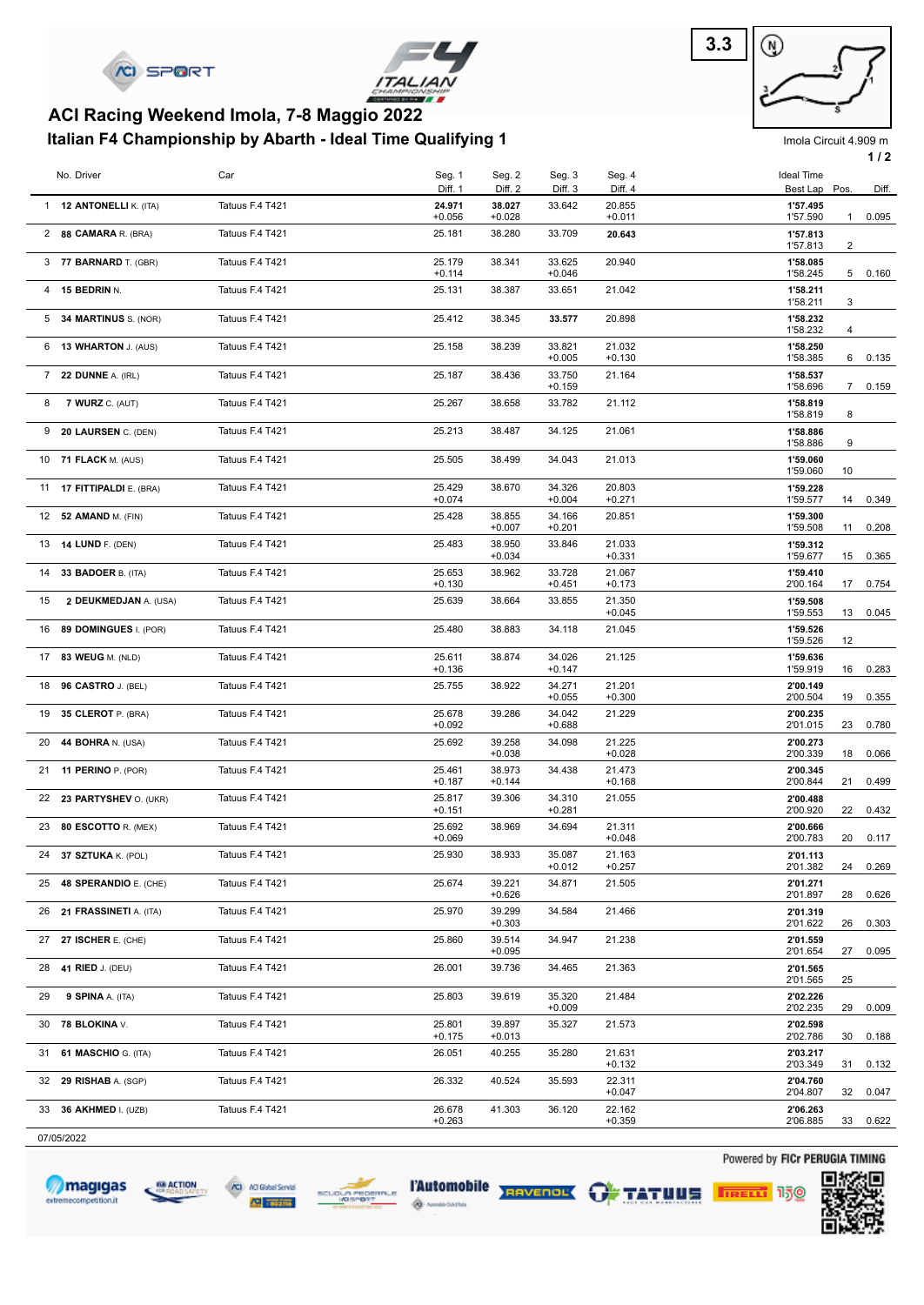



### **Italian F4 Championship by Abarth - Ideal Time Qualifying 1 ACI Racing Weekend Imola, 7-8 Maggio 2022**



Imola Circuit 4.909 m

|    |                                |                 |                    |                    |                    |                    |                                  |              | 1/2   |
|----|--------------------------------|-----------------|--------------------|--------------------|--------------------|--------------------|----------------------------------|--------------|-------|
|    | No. Driver                     | Car             | Seg. 1             | Seg. 2             | Seg. 3             | Seg. 4             | <b>Ideal Time</b>                |              |       |
|    | 1 12 <b>ANTONELLI</b> K. (ITA) | Tatuus F.4 T421 | Diff. 1<br>24.971  | Diff. 2<br>38.027  | Diff. 3<br>33.642  | Diff. 4<br>20.855  | Best Lap Pos.<br>1'57.495        |              | Diff. |
|    | 2 88 CAMARA R. (BRA)           | Tatuus F.4 T421 | $+0.056$<br>25.181 | $+0.028$<br>38.280 | 33.709             | $+0.011$<br>20.643 | 1'57.590<br>1'57.813             | $\mathbf{1}$ | 0.095 |
|    | 3 77 BARNARD T. (GBR)          | Tatuus F.4 T421 | 25.179<br>$+0.114$ | 38.341             | 33.625<br>$+0.046$ | 20.940             | 1'57.813<br>1'58.085<br>1'58.245 | 2<br>5       | 0.160 |
|    | 4 15 BEDRIN N.                 | Tatuus F.4 T421 | 25.131             | 38.387             | 33.651             | 21.042             | 1'58.211                         | 3            |       |
|    | 5 34 MARTINUS S. (NOR)         | Tatuus F.4 T421 | 25.412             | 38.345             | 33.577             | 20.898             | 1'58.211<br>1'58.232<br>1'58.232 | 4            |       |
|    | 6 13 WHARTON J. (AUS)          | Tatuus F.4 T421 | 25.158             | 38.239             | 33.821<br>$+0.005$ | 21.032<br>$+0.130$ | 1'58.250<br>1'58.385             | 6            | 0.135 |
| 7  | 22 DUNNE A. (IRL)              | Tatuus F.4 T421 | 25.187             | 38.436             | 33.750<br>$+0.159$ | 21.164             | 1'58.537<br>1'58.696             | $7^{\circ}$  | 0.159 |
| 8  | 7 WURZ C. (AUT)                | Tatuus F.4 T421 | 25.267             | 38.658             | 33.782             | 21.112             | 1'58.819<br>1'58.819             | 8            |       |
| 9  | 20 LAURSEN C. (DEN)            | Tatuus F.4 T421 | 25.213             | 38.487             | 34.125             | 21.061             | 1'58.886<br>1'58.886             | 9            |       |
|    | 10 71 FLACK M. (AUS)           | Tatuus F.4 T421 | 25.505             | 38.499             | 34.043             | 21.013             | 1'59.060<br>1'59.060             | 10           |       |
| 11 | 17 FITTIPALDI E. (BRA)         | Tatuus F.4 T421 | 25.429<br>$+0.074$ | 38.670             | 34.326<br>$+0.004$ | 20.803<br>$+0.271$ | 1'59.228<br>1'59.577             | 14           | 0.349 |
| 12 | 52 AMAND M. (FIN)              | Tatuus F.4 T421 | 25.428             | 38.855<br>$+0.007$ | 34.166<br>$+0.201$ | 20.851             | 1'59.300<br>1'59.508             | 11           | 0.208 |
| 13 | <b>14 LUND F. (DEN)</b>        | Tatuus F.4 T421 | 25.483             | 38.950<br>$+0.034$ | 33.846             | 21.033<br>$+0.331$ | 1'59.312<br>1'59.677             | 15           | 0.365 |
| 14 | 33 BADOER B. (ITA)             | Tatuus F.4 T421 | 25.653<br>$+0.130$ | 38.962             | 33.728<br>$+0.451$ | 21.067<br>$+0.173$ | 1'59.410<br>2'00.164             | 17           | 0.754 |
| 15 | 2 DEUKMEDJAN A. (USA)          | Tatuus F.4 T421 | 25.639             | 38.664             | 33.855             | 21.350<br>$+0.045$ | 1'59.508<br>1'59.553             | 13           | 0.045 |
| 16 | 89 DOMINGUES I. (POR)          | Tatuus F.4 T421 | 25.480             | 38.883             | 34.118             | 21.045             | 1'59.526<br>1'59.526             | 12           |       |
| 17 | 83 WEUG M. (NLD)               | Tatuus F.4 T421 | 25.611<br>$+0.136$ | 38.874             | 34.026<br>$+0.147$ | 21.125             | 1'59.636<br>1'59.919             | 16           | 0.283 |
| 18 | 96 CASTRO J. (BEL)             | Tatuus F.4 T421 | 25.755             | 38.922             | 34.271<br>$+0.055$ | 21.201<br>$+0.300$ | 2'00.149<br>2'00.504             | 19           | 0.355 |
| 19 | 35 CLEROT P. (BRA)             | Tatuus F.4 T421 | 25.678<br>$+0.092$ | 39.286             | 34.042<br>$+0.688$ | 21.229             | 2'00.235<br>2'01.015             | 23           | 0.780 |
| 20 | 44 BOHRA N. (USA)              | Tatuus F.4 T421 | 25.692             | 39.258<br>$+0.038$ | 34.098             | 21.225<br>$+0.028$ | 2'00.273<br>2'00.339             | 18           | 0.066 |
|    | 21 11 PERINO P. (POR)          | Tatuus F.4 T421 | 25.461<br>$+0.187$ | 38.973<br>$+0.144$ | 34.438             | 21.473<br>$+0.168$ | 2'00.345<br>2'00.844             | 21           | 0.499 |
|    | 22 23 PARTYSHEV O. (UKR)       | Tatuus F.4 T421 | 25.817<br>$+0.151$ | 39.306             | 34.310<br>$+0.281$ | 21.055             | 2'00.488<br>2'00.920             | 22           | 0.432 |
|    | 23 80 ESCOTTO R. (MEX)         | Tatuus F.4 T421 | 25.692<br>$+0.069$ | 38.969             | 34.694             | 21.311<br>$+0.048$ | 2'00.666<br>2'00.783             | 20           | 0.117 |
|    | 24 37 SZTUKA K. (POL)          | Tatuus F.4 T421 | 25.930             | 38.933             | 35.087<br>$+0.012$ | 21.163<br>$+0.257$ | 2'01.113<br>2'01.382             | 24           | 0.269 |
|    | 25 48 SPERANDIO E. (CHE)       | Tatuus F.4 T421 | 25.674             | 39.221<br>$+0.626$ | 34.871             | 21.505             | 2'01.271<br>2'01.897             | 28           | 0.626 |
|    | 26 21 FRASSINETI A. (ITA)      | Tatuus F.4 T421 | 25.970             | 39.299<br>$+0.303$ | 34.584             | 21.466             | 2'01.319<br>2'01.622             | 26           | 0.303 |
|    | 27 27 ISCHER E. (CHE)          | Tatuus F.4 T421 | 25.860             | 39.514<br>$+0.095$ | 34.947             | 21.238             | 2'01.559<br>2'01.654             | 27           | 0.095 |
|    | 28 <b>41 RIED</b> J. (DEU)     | Tatuus F.4 T421 | 26.001             | 39.736             | 34.465             | 21.363             | 2'01.565<br>2'01.565             | 25           |       |
| 29 | <b>9 SPINA A. (ITA)</b>        | Tatuus F.4 T421 | 25.803             | 39.619             | 35.320<br>$+0.009$ | 21.484             | 2'02.226<br>2'02.235             | 29           | 0.009 |
|    | 30 78 BLOKINA V.               | Tatuus F.4 T421 | 25.801<br>$+0.175$ | 39.897<br>$+0.013$ | 35.327             | 21.573             | 2'02.598<br>2'02.786             | 30           | 0.188 |
|    | 31 61 MASCHIO G. (ITA)         | Tatuus F.4 T421 | 26.051             | 40.255             | 35.280             | 21.631<br>$+0.132$ | 2'03.217<br>2'03.349             | 31           | 0.132 |
|    | 32 29 RISHAB A. (SGP)          | Tatuus F.4 T421 | 26.332             | 40.524             | 35.593             | 22.311<br>$+0.047$ | 2'04.760<br>2'04.807             | 32           | 0.047 |
|    | 33 36 AKHMED I. (UZB)          | Tatuus F.4 T421 | 26.678<br>$+0.263$ | 41.303             | 36.120             | 22.162<br>$+0.359$ | 2'06.263<br>2'06.885             | 33           | 0.622 |
|    |                                |                 |                    |                    |                    |                    |                                  |              |       |

07/05/2022











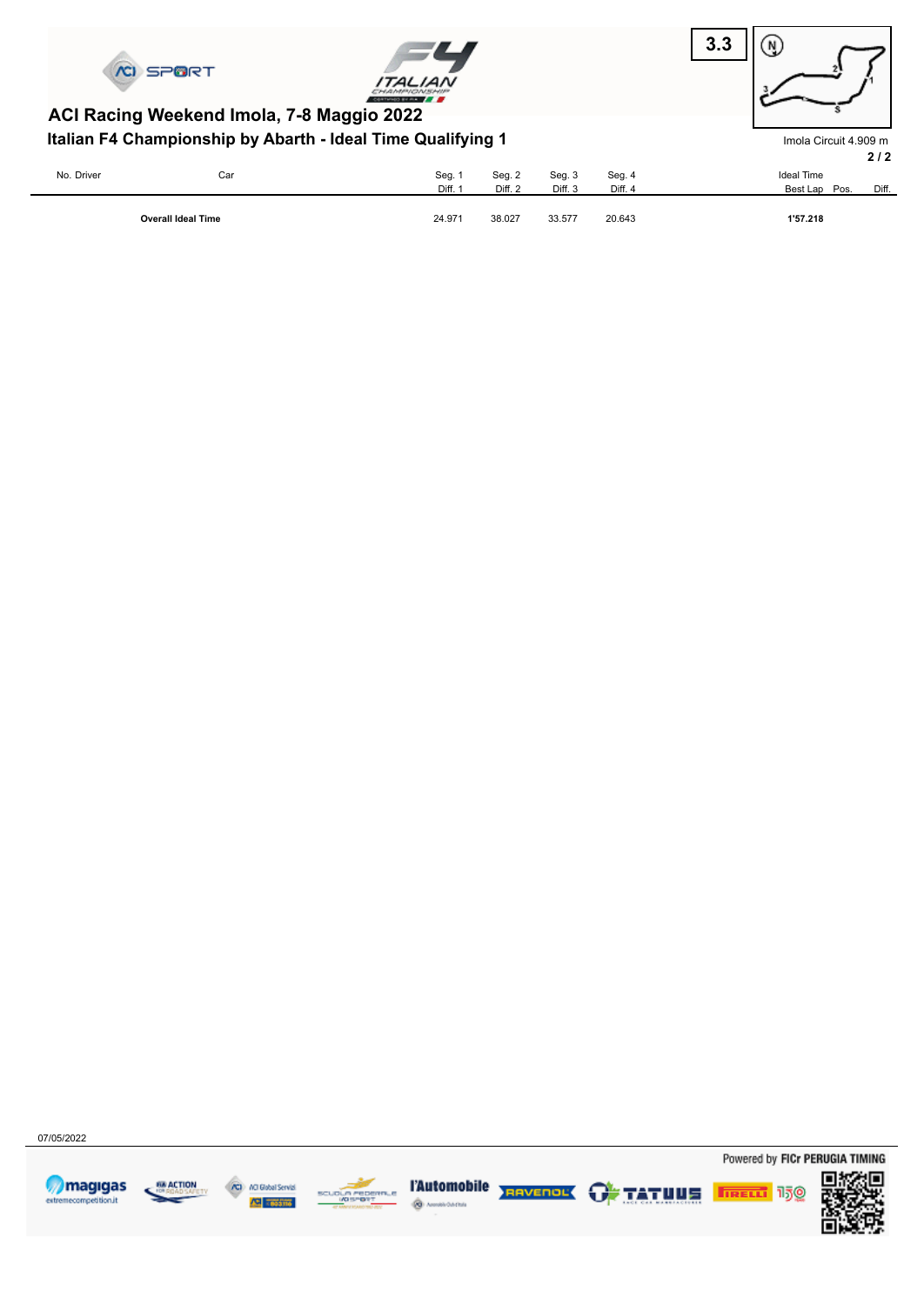





Imola Circuit 4.909 m

### **Italian F4 Championship by Abarth - Ideal Time Qualifying 1 ACI Racing Weekend Imola, 7-8 Maggio 2022**

|            |                           |         |         |         |         | 2/2                    |
|------------|---------------------------|---------|---------|---------|---------|------------------------|
| No. Driver | Car                       | Seg. 1  | Seg. 2  | Seg. 3  | Seg. 4  | <b>Ideal Time</b>      |
|            |                           | Diff. 1 | Diff. 2 | Diff. 3 | Diff. 4 | Diff.<br>Best Lap Pos. |
|            | <b>Overall Ideal Time</b> | 24.971  | 38.027  | 33.577  | 20.643  | 1'57.218               |

07/05/2022









ه چ owma



**TAutomobile REAVERENT GA TATULE FREED 150** 

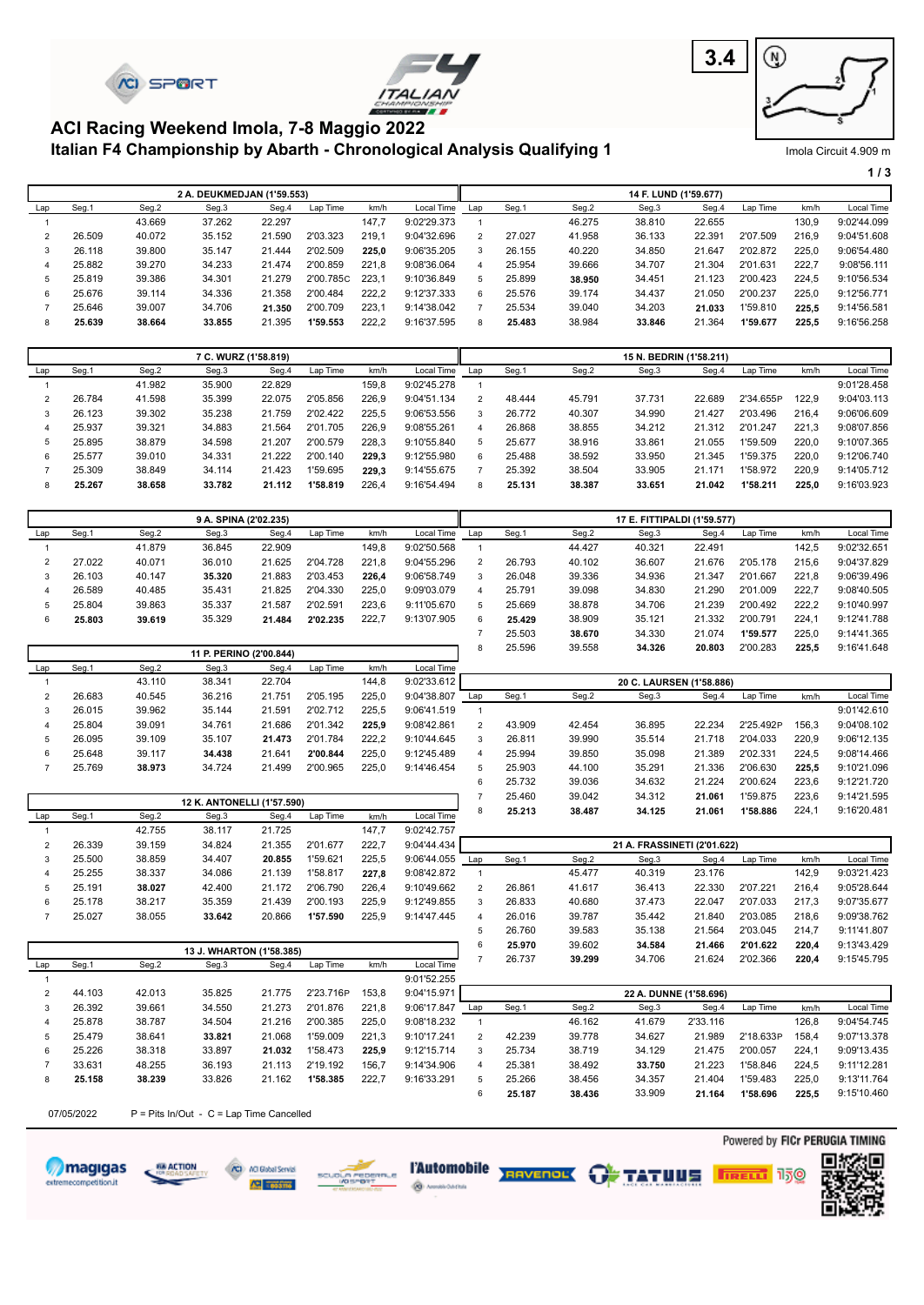





#### **Italian F4 Championship by Abarth - Chronological Analysis Qualifying 1 ACI Racing Weekend Imola, 7-8 Maggio 2022**

| Imola Circuit 4.909 m |
|-----------------------|
|-----------------------|

|     |        |        |                            |        |           |       |             |                       |        |        |                       |        |          |       | 1/3         |
|-----|--------|--------|----------------------------|--------|-----------|-------|-------------|-----------------------|--------|--------|-----------------------|--------|----------|-------|-------------|
|     |        |        | 2 A. DEUKMEDJAN (1'59.553) |        |           |       |             |                       |        |        | 14 F. LUND (1'59.677) |        |          |       |             |
| Lap | Seg.1  | Seg.2  | Seg.3                      | Seg.4  | Lap Time  | km/h  | Local Time  | Lap                   | Seg.1  | Seg.2  | Seg.3                 | Seg.4  | Lap Time | km/h  | Local Time  |
|     |        | 43.669 | 37.262                     | 22.297 |           | 147.7 | 9:02'29.373 |                       |        | 46.275 | 38.810                | 22.655 |          | 130,9 | 9:02'44.099 |
|     | 26.509 | 40.072 | 35.152                     | 21.590 | 2'03.323  | 219,1 | 9:04'32.696 | $\overline{2}$        | 27,027 | 41.958 | 36.133                | 22.391 | 2'07.509 | 216,9 | 9:04'51.608 |
| 3   | 26.118 | 39.800 | 35.147                     | 21.444 | 2'02.509  | 225.0 | 9:06'35.205 | 3                     | 26.155 | 40.220 | 34.850                | 21.647 | 2'02.872 | 225.0 | 9:06'54.480 |
| 4   | 25.882 | 39,270 | 34.233                     | 21.474 | 2'00.859  | 221.8 | 9:08'36.064 | $\boldsymbol{\Delta}$ | 25.954 | 39.666 | 34.707                | 21.304 | 2'01.631 | 222,7 | 9:08'56.111 |
| 5   | 25.819 | 39.386 | 34.301                     | 21.279 | 2'00.785C | 223.1 | 9:10'36.849 | 5                     | 25.899 | 38.950 | 34.451                | 21.123 | 2'00.423 | 224.5 | 9:10'56.534 |
| 6   | 25.676 | 39.114 | 34.336                     | 21.358 | 2'00.484  | 222.2 | 9:12'37.333 | 6                     | 25.576 | 39.174 | 34.437                | 21.050 | 2'00.237 | 225,0 | 9:12'56.771 |
|     | 25.646 | 39.007 | 34.706                     | 21.350 | 2'00.709  | 223,1 | 9:14'38.042 |                       | 25.534 | 39.040 | 34.203                | 21.033 | 1'59.810 | 225,5 | 9:14'56.581 |
| 8   | 25.639 | 38.664 | 33.855                     | 21.395 | 1'59.553  | 222,2 | 9:16'37.595 | 8                     | 25.483 | 38.984 | 33.846                | 21.364 | 1'59.677 | 225,5 | 9:16'56.258 |

|     | 7 C. WURZ (1'58.819) |        |        |        |          |       |             |               |        |        | 15 N. BEDRIN (1'58.211) |        |           |       |             |
|-----|----------------------|--------|--------|--------|----------|-------|-------------|---------------|--------|--------|-------------------------|--------|-----------|-------|-------------|
| Lap | Seg.1                | Seg.2  | Seg.3  | Seg.4  | Lap Time | km/h  | Local Time  | Lap           | Seg.1  | Seg.2  | Seg.3                   | Seg.4  | Lap Time  | km/h  | Local Time  |
|     |                      | 41.982 | 35,900 | 22.829 |          | 159.8 | 9:02'45.278 |               |        |        |                         |        |           |       | 9:01'28.458 |
|     | 26.784               | 41.598 | 35.399 | 22.075 | 2'05.856 | 226.9 | 9:04'51.134 | $\mathcal{P}$ | 48.444 | 45.791 | 37.731                  | 22.689 | 2'34.655P | 122.9 | 9:04'03.113 |
|     | 26.123               | 39.302 | 35.238 | 21.759 | 2'02.422 | 225.5 | 9:06'53.556 | 3             | 26.772 | 40.307 | 34.990                  | 21.427 | 2'03.496  | 216.4 | 9:06'06.609 |
|     | 25.937               | 39.321 | 34.883 | 21.564 | 2'01.705 | 226.9 | 9:08'55.261 | 4             | 26.868 | 38.855 | 34.212                  | 21.312 | 2'01.247  | 221.3 | 9:08'07.856 |
| 5   | 25.895               | 38.879 | 34.598 | 21.207 | 2'00.579 | 228.3 | 9:10'55.840 | 5             | 25.677 | 38.916 | 33.861                  | 21.055 | 1'59.509  | 220,0 | 9:10'07.365 |
|     | 25.577               | 39.010 | 34.331 | 21.222 | 2'00.140 | 229.3 | 9:12'55.980 | 6             | 25.488 | 38.592 | 33.950                  | 21.345 | 1'59.375  | 220.0 | 9:12'06.740 |
|     | 25.309               | 38.849 | 34.114 | 21.423 | 1'59.695 | 229.3 | 9:14'55.675 |               | 25.392 | 38.504 | 33.905                  | 21.171 | 1'58.972  | 220.9 | 9:14'05.712 |
| 8   | 25.267               | 38.658 | 33.782 | 21.112 | 1'58.819 | 226,4 | 9:16'54.494 |               | 25.131 | 38.387 | 33.651                  | 21.042 | 1'58.211  | 225.0 | 9:16'03.923 |

|     | 9 A. SPINA (2'02.235) |        |        |        |          |       |             | 17 E. FITTIPALDI (1'59.577) |        |        |        |        |          |       |             |
|-----|-----------------------|--------|--------|--------|----------|-------|-------------|-----------------------------|--------|--------|--------|--------|----------|-------|-------------|
| Lap | Seg.1                 | Seg.2  | Seg.3  | Seg.4  | Lap Time | km/h  | Local Time  | Lap                         | Seg.1  | Seg.2  | Seg.3  | Seg.4  | Lap Time | km/h  | Local Time  |
|     |                       | 41.879 | 36.845 | 22.909 |          | 149.8 | 9:02'50.568 |                             |        | 44.427 | 40.321 | 22.491 |          | 142.5 | 9:02'32.651 |
|     | 27.022                | 40.071 | 36,010 | 21.625 | 2'04.728 | 221.8 | 9:04'55.296 |                             | 26.793 | 40.102 | 36.607 | 21.676 | 2'05.178 | 215.6 | 9:04'37.829 |
|     | 26.103                | 40.147 | 35.320 | 21.883 | 2'03.453 | 226.4 | 9:06'58.749 |                             | 26.048 | 39.336 | 34.936 | 21.347 | 2'01.667 | 221.8 | 9:06'39.496 |
|     | 26.589                | 40.485 | 35.431 | 21.825 | 2'04.330 | 225.0 | 9:09'03.079 |                             | 25.791 | 39.098 | 34.830 | 21.290 | 2'01.009 | 222.7 | 9:08'40.505 |
|     | 25.804                | 39.863 | 35.337 | 21.587 | 2'02.591 | 223.6 | 9:11'05.670 |                             | 25.669 | 38.878 | 34.706 | 21.239 | 2'00.492 | 222.2 | 9:10'40.997 |
|     | 25.803                | 39.619 | 35.329 | 21.484 | 2'02.235 | 222.7 | 9:13'07.905 | 6                           | 25.429 | 38.909 | 35.121 | 21.332 | 2'00.791 | 224.1 | 9:12'41.788 |
|     |                       |        |        |        |          |       |             |                             | 25.503 | 38.670 | 34.330 | 21.074 | 1'59.577 | 225.0 | 9:14'41.365 |

| 11 P. PERINO (2'00.844) |        |        |                            |        |          |       |             | ×                     | 25.596 | 39.558 | 34.326                   | 20.803 | 2'00.283  | 225.5 | 9:16'41.648 |
|-------------------------|--------|--------|----------------------------|--------|----------|-------|-------------|-----------------------|--------|--------|--------------------------|--------|-----------|-------|-------------|
| Lap                     | Seg.1  | Seg.2  | Seg.3                      | Seg.4  | Lap Time | km/h  | Local Time  |                       |        |        |                          |        |           |       |             |
|                         |        | 43.110 | 38.341                     | 22.704 |          | 144.8 | 9:02'33.612 |                       |        |        | 20 C. LAURSEN (1'58.886) |        |           |       |             |
|                         | 26.683 | 40.545 | 36.216                     | 21.751 | 2'05.195 | 225.0 | 9:04'38.807 | Lap                   | Seg.1  | Seg.2  | Seg.3                    | Seg.4  | Lap Time  | km/h  | Local Time  |
|                         | 26.015 | 39.962 | 35.144                     | 21.591 | 2'02.712 | 225.5 | 9:06'41.519 |                       |        |        |                          |        |           |       | 9:01'42.610 |
|                         | 25.804 | 39.091 | 34.761                     | 21.686 | 2'01.342 | 225.9 | 9:08'42.861 | $\mathcal{P}$         | 43.909 | 42.454 | 36.895                   | 22.234 | 2'25.492P | 156.3 | 9:04'08.102 |
|                         | 26.095 | 39.109 | 35.107                     | 21.473 | 2'01.784 | 222.2 | 9:10'44.645 | 3                     | 26.811 | 39.990 | 35.514                   | 21.718 | 2'04.033  | 220.9 | 9:06'12.135 |
|                         | 25.648 | 39.117 | 34.438                     | 21.641 | 2'00.844 | 225.0 | 9:12'45.489 | $\boldsymbol{\Delta}$ | 25.994 | 39.850 | 35.098                   | 21.389 | 2'02.331  | 224.5 | 9:08'14.466 |
|                         | 25.769 | 38.973 | 34.724                     | 21.499 | 2'00.965 | 225.0 | 9:14'46.454 | -5                    | 25.903 | 44.100 | 35.291                   | 21.336 | 2'06.630  | 225.5 | 9:10'21.096 |
|                         |        |        |                            |        |          |       |             | 6                     | 25.732 | 39.036 | 34.632                   | 21.224 | 2'00.624  | 223,6 | 9:12'21.720 |
|                         |        |        | 40 IZ ANTONELLI (4157-500) |        |          |       |             |                       | 25.460 | 39.042 | 34.312                   | 21.061 | 1'59.875  | 223.6 | 9:14'21.595 |

|     | 12 K. ANTONELLI (1'57.590) |        |        |        |          |       |             |               | $-0.700$ | $\mathsf{v}\mathsf{v}.\mathsf{v}\mathsf{u}$ | <b>VT.VIL</b>               | -      | .        | ----  | $V \cdot 1 T = 1.000$ |
|-----|----------------------------|--------|--------|--------|----------|-------|-------------|---------------|----------|---------------------------------------------|-----------------------------|--------|----------|-------|-----------------------|
| Lap | Seg.1                      | Seg.2  | Seg.3  | Seg.4  | Lap Time | km/h  | Local Time  | 8             | 25.213   | 38.487                                      | 34.125                      | 21.061 | 1'58.886 | 224,1 | 9:16'20.481           |
|     |                            | 42.755 | 38.117 | 21.725 |          | 147.7 | 9:02'42.757 |               |          |                                             |                             |        |          |       |                       |
|     | 26.339                     | 39.159 | 34.824 | 21.355 | 2'01.677 | 222.7 | 9:04'44.434 |               |          |                                             | 21 A. FRASSINETI (2'01.622) |        |          |       |                       |
|     | 25.500                     | 38.859 | 34.407 | 20.855 | 1'59.621 | 225.5 | 9:06'44.055 | Lap           | Seg.1    | Seg.2                                       | Seg.3                       | Seg.4  | Lap Time | km/h  | Local Time            |
|     | 25.255                     | 38.337 | 34.086 | 21.139 | 1'58.817 | 227.8 | 9:08'42.872 |               |          | 45.477                                      | 40.319                      | 23.176 |          | 142.9 | 9:03'21.423           |
|     | 25.191                     | 38.027 | 42.400 | 21.172 | 2'06.790 | 226.4 | 9:10'49.662 | $\mathcal{P}$ | 26.861   | 41.617                                      | 36.413                      | 22.330 | 2'07.221 | 216.4 | 9:05'28.644           |
| 6   | 25.178                     | 38.217 | 35.359 | 21.439 | 2'00.193 | 225.9 | 9:12'49.855 | 3             | 26.833   | 40.680                                      | 37.473                      | 22.047 | 2'07.033 | 217.3 | 9:07'35.677           |
|     | 25.027                     | 38.055 | 33.642 | 20.866 | 1'57.590 | 225.9 | 9:14'47.445 | 4             | 26.016   | 39.787                                      | 35.442                      | 21.840 | 2'03.085 | 218.6 | 9:09'38.762           |
|     |                            |        |        |        |          |       |             |               | 26.760   | 39.583                                      | 35.138                      | 21.564 | 2'03.045 | 214.7 | 9:11'41.807           |
|     |                            |        |        |        |          |       |             |               | 25.970   | 39.602                                      | 34.584                      | 21.466 | 2'01.622 | 220.4 | 9:13'43.429           |

|     |        |        | 13 J. WHARTON (1'58.385) |        |           |       |             |               | 20.JI U | JJ.UUZ | -----  | 41.400                 | A U I.UAA | 220.4 | <u>J. IU TU.TAJ</u> |
|-----|--------|--------|--------------------------|--------|-----------|-------|-------------|---------------|---------|--------|--------|------------------------|-----------|-------|---------------------|
| Lap | Seg.1  | Seg.2  | Seg.3                    | Seg.4  | Lap Time  | km/h  | Local Time  |               | 26.737  | 39.299 | 34.706 | 21.624                 | 2'02.366  | 220,4 | 9:15'45.795         |
|     |        |        |                          |        |           |       | 9:01'52.255 |               |         |        |        |                        |           |       |                     |
|     | 44.103 | 42.013 | 35.825                   | 21.775 | 2'23.716P | 153.8 | 9:04'15.971 |               |         |        |        | 22 A. DUNNE (1'58.696) |           |       |                     |
|     | 26.392 | 39.661 | 34.550                   | 21.273 | 2'01.876  | 221.8 | 9:06'17.847 | Lap           | Seg.1   | Seg.2  | Seg.3  | Sea.4                  | Lap Time  | km/h  | Local Time          |
| 4   | 25.878 | 38.787 | 34.504                   | 21.216 | 2'00.385  | 225.0 | 9:08'18.232 |               |         | 46.162 | 41.679 | 2'33.116               |           | 126.8 | 9:04'54.745         |
| 5   | 25.479 | 38.641 | 33.821                   | 21.068 | 1'59.009  | 221.3 | 9:10'17.241 | $\mathcal{P}$ | 42.239  | 39.778 | 34.627 | 21.989                 | 2'18.633P | 158.4 | 9:07'13.378         |
| 6.  | 25.226 | 38.318 | 33.897                   | 21.032 | 1'58.473  | 225.9 | 9:12'15.714 | 3             | 25.734  | 38.719 | 34.129 | 21.475                 | 2'00.057  | 224.1 | 9:09'13.435         |
|     | 33.631 | 48.255 | 36.193                   | 21.113 | 2'19.192  | 156.7 | 9:14'34.906 |               | 25.381  | 38.492 | 33.750 | 21.223                 | 1'58.846  | 224.5 | 9:11'12.281         |
| 8   | 25.158 | 38.239 | 33.826                   | 21.162 | 1'58.385  | 222.7 | 9:16'33.291 | 5             | 25.266  | 38.456 | 34.357 | 21.404                 | 1'59.483  | 225.0 | 9:13'11.764         |
|     |        |        |                          |        |           |       |             |               | 25.187  | 38.436 | 33.909 | 21.164                 | 1'58.696  | 225.5 | 9:15'10.460         |

07/05/2022  $P =$  Pits In/Out - C = Lap Time Cancelled













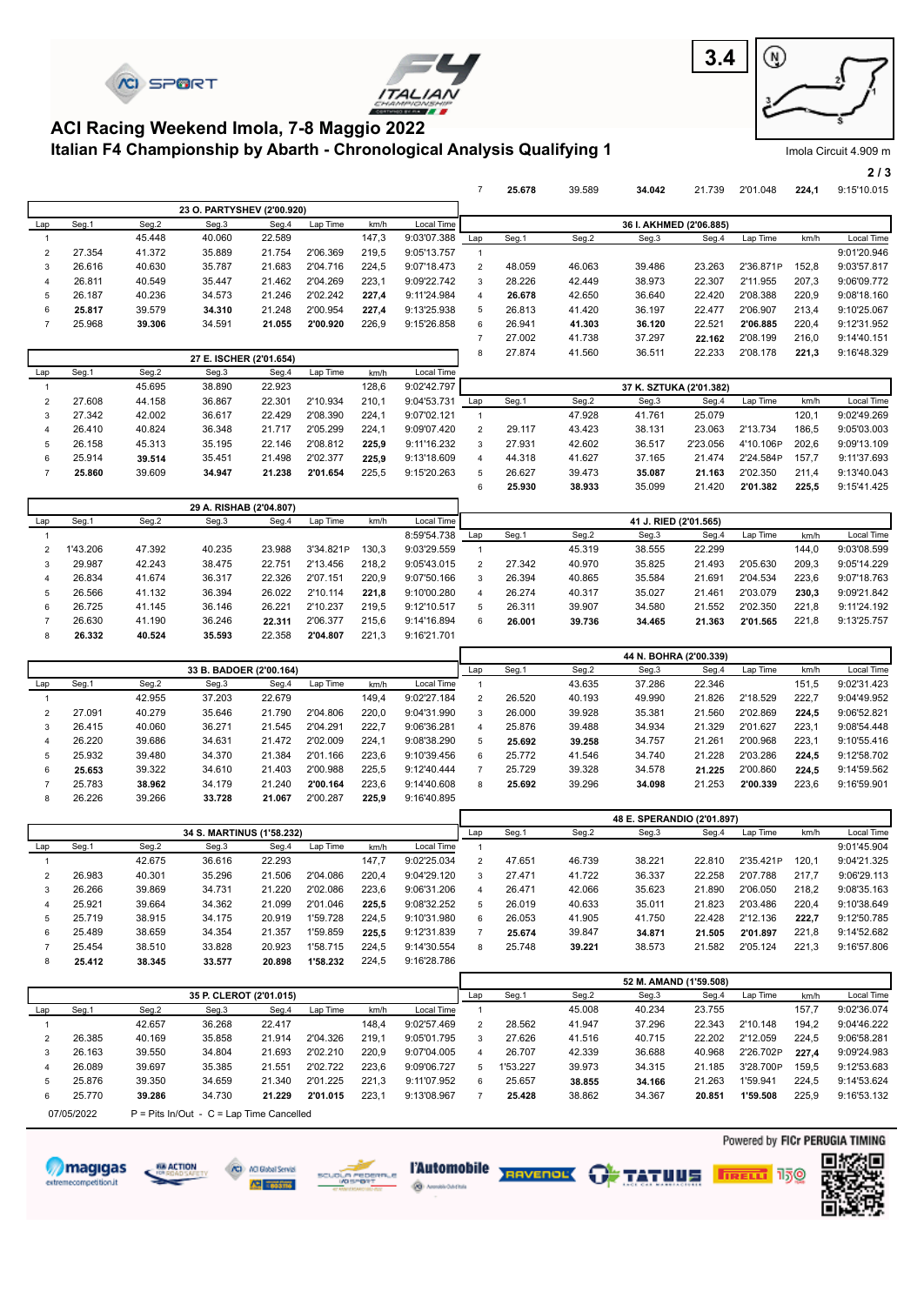





Imola Circuit 4.909 m

**2 / 3**

#### **Italian F4 Championship by Abarth - Chronological Analysis Qualifying 1 ACI Racing Weekend Imola, 7-8 Maggio 2022**

 25.914 **39.514** 35.451 21.498 2'02.377 **225,9** 9:13'18.609  **25.860** 39.609 **34.947 21.238 2'01.654** 225,5 9:15'20.263

|                |        |        |                            |        |          |       |             |                | 25.678 | 39.589 | 34.042                  | 21.739   | 2'01.048  | 224,1 | 9:15'10.015 |
|----------------|--------|--------|----------------------------|--------|----------|-------|-------------|----------------|--------|--------|-------------------------|----------|-----------|-------|-------------|
|                |        |        | 23 O. PARTYSHEV (2'00.920) |        |          |       |             |                |        |        |                         |          |           |       |             |
| Lap            | Seg.1  | Seg.2  | Seg.3                      | Seg.4  | Lap Time | km/h  | Local Time  |                |        |        | 36 I. AKHMED (2'06.885) |          |           |       |             |
|                |        | 45.448 | 40.060                     | 22.589 |          | 147,3 | 9:03'07.388 | Lap            | Seg.1  | Seg.2  | Seg.3                   | Seg.4    | Lap Time  | km/h  | Local Time  |
| 2              | 27.354 | 41.372 | 35.889                     | 21.754 | 2'06.369 | 219,5 | 9:05'13.757 |                |        |        |                         |          |           |       | 9:01'20.946 |
| 3              | 26.616 | 40.630 | 35.787                     | 21.683 | 2'04.716 | 224.5 | 9:07'18.473 | $\overline{2}$ | 48.059 | 46.063 | 39.486                  | 23.263   | 2'36.871P | 152,8 | 9:03'57.817 |
| 4              | 26.811 | 40.549 | 35.447                     | 21.462 | 2'04.269 | 223,1 | 9:09'22.742 | 3              | 28.226 | 42.449 | 38.973                  | 22.307   | 2'11.955  | 207,3 | 9:06'09.772 |
| 5              | 26.187 | 40.236 | 34.573                     | 21.246 | 2'02.242 | 227.4 | 9:11'24.984 | 4              | 26.678 | 42.650 | 36.640                  | 22.420   | 2'08.388  | 220,9 | 9:08'18.160 |
| 6              | 25.817 | 39.579 | 34.310                     | 21.248 | 2'00.954 | 227,4 | 9:13'25.938 | 5              | 26.813 | 41.420 | 36.197                  | 22.477   | 2'06.907  | 213,4 | 9:10'25.067 |
|                | 25.968 | 39.306 | 34.591                     | 21.055 | 2'00.920 | 226,9 | 9:15'26.858 | 6              | 26.941 | 41.303 | 36.120                  | 22.521   | 2'06.885  | 220,4 | 9:12'31.952 |
|                |        |        |                            |        |          |       |             | 7              | 27.002 | 41.738 | 37.297                  | 22.162   | 2'08.199  | 216,0 | 9:14'40.151 |
|                |        |        | 27 E. ISCHER (2'01.654)    |        |          |       |             | 8              | 27.874 | 41.560 | 36.511                  | 22.233   | 2'08.178  | 221,3 | 9:16'48.329 |
| Lap            | Seg.1  | Seg.2  | Seg.3                      | Seg.4  | Lap Time | km/h  | Local Time  |                |        |        |                         |          |           |       |             |
|                |        | 45.695 | 38.890                     | 22.923 |          | 128,6 | 9:02'42.797 |                |        |        | 37 K. SZTUKA (2'01.382) |          |           |       |             |
| $\overline{2}$ | 27.608 | 44.158 | 36.867                     | 22.301 | 2'10.934 | 210.1 | 9:04'53.731 | Lap            | Seg.1  | Seg.2  | Seg.3                   | Seg.4    | Lap Time  | km/h  | Local Time  |
| 3              | 27.342 | 42.002 | 36.617                     | 22.429 | 2'08.390 | 224,1 | 9:07'02.121 |                |        | 47.928 | 41.761                  | 25.079   |           | 120,1 | 9:02'49.269 |
| 4              | 26.410 | 40.824 | 36.348                     | 21.717 | 2'05.299 | 224,1 | 9:09'07.420 | $\overline{2}$ | 29.117 | 43.423 | 38.131                  | 23.063   | 2'13.734  | 186,5 | 9:05'03.003 |
| 5              | 26.158 | 45.313 | 35.195                     | 22.146 | 2'08.812 | 225.9 | 9:11'16.232 | 3              | 27.931 | 42.602 | 36.517                  | 2'23.056 | 4'10.106P | 202,6 | 9:09'13.109 |

|                |          |        |                         |        |           |       |             | 6             | 25.930 | 38.933 | 35.099                | 21.420 | 2'01.382 | 225.5 | 9:15'41.425 |
|----------------|----------|--------|-------------------------|--------|-----------|-------|-------------|---------------|--------|--------|-----------------------|--------|----------|-------|-------------|
|                |          |        | 29 A. RISHAB (2'04.807) |        |           |       |             |               |        |        |                       |        |          |       |             |
| Lap            | Seg.1    | Seg.2  | Seg.3                   | Seg.4  | Lap Time  | km/h  | Local Time  |               |        |        | 41 J. RIED (2'01.565) |        |          |       |             |
|                |          |        |                         |        |           |       | 8:59'54.738 | Lap           | Seg.1  | Seg.2  | Seg.3                 | Seg.4  | Lap Time | km/h  | Local Time  |
| $\overline{2}$ | 1'43.206 | 47.392 | 40.235                  | 23.988 | 3'34.821P | 130.3 | 9:03'29.559 |               |        | 45.319 | 38.555                | 22.299 |          | 144.0 | 9:03'08.599 |
|                | 29.987   | 42.243 | 38.475                  | 22.751 | 2'13.456  | 218.2 | 9:05'43.015 | $\mathcal{P}$ | 27.342 | 40.970 | 35.825                | 21.493 | 2'05.630 | 209.3 | 9:05'14.229 |
| 4              | 26.834   | 41.674 | 36.317                  | 22.326 | 2'07.151  | 220.9 | 9:07'50.166 | 3             | 26.394 | 40.865 | 35.584                | 21.691 | 2'04.534 | 223.6 | 9:07'18.763 |
| 5              | 26.566   | 41.132 | 36.394                  | 26.022 | 2'10.114  | 221.8 | 9:10'00.280 |               | 26.274 | 40.317 | 35.027                | 21.461 | 2'03.079 | 230,3 | 9:09'21.842 |
| 6              | 26.725   | 41.145 | 36.146                  | 26.221 | 2'10.237  | 219.5 | 9:12'10.517 | 5             | 26.311 | 39.907 | 34.580                | 21.552 | 2'02.350 | 221.8 | 9:11'24.192 |
|                | 26.630   | 41.190 | 36.246                  | 22.311 | 2'06.377  | 215.6 | 9:14'16.894 | 6             | 26.001 | 39.736 | 34.465                | 21.363 | 2'01.565 | 221.8 | 9:13'25.757 |
| 8              | 26.332   | 40.524 | 35.593                  | 22.358 | 2'04.807  | 221.3 | 9:16'21.701 |               |        |        |                       |        |          |       |             |

|     |        |        |                         |        |          |       |             |                |        |        | 44 N. BOHRA (2'00.339) |        |          |       |             |
|-----|--------|--------|-------------------------|--------|----------|-------|-------------|----------------|--------|--------|------------------------|--------|----------|-------|-------------|
|     |        |        | 33 B. BADOER (2'00.164) |        |          |       |             | Lap            | Seg.1  | Seg.2  | Seg.3                  | Seg.4  | Lap Time | km/h  | Local Time  |
| Lap | Seg.1  | Seg.2  | Seg.3                   | Seg.4  | Lap Time | km/h  | Local Time  |                |        | 43.635 | 37.286                 | 22.346 |          | 151.5 | 9:02'31.423 |
|     |        | 42.955 | 37.203                  | 22.679 |          | 149.4 | 9:02'27.184 | 2              | 26.520 | 40.193 | 49.990                 | 21.826 | 2'18.529 | 222.7 | 9:04'49.952 |
| 2   | 27.091 | 40.279 | 35.646                  | 21.790 | 2'04.806 | 220.0 | 9:04'31.990 | 3              | 26.000 | 39.928 | 35.381                 | 21.560 | 2'02.869 | 224,5 | 9:06'52.821 |
|     | 26.415 | 40.060 | 36.271                  | 21.545 | 2'04.291 | 222.7 | 9:06'36.281 | $\overline{a}$ | 25.876 | 39.488 | 34.934                 | 21.329 | 2'01.627 | 223,1 | 9:08'54.448 |
| 4   | 26.220 | 39.686 | 34.631                  | 21.472 | 2'02.009 | 224.1 | 9:08'38.290 | 5              | 25.692 | 39.258 | 34.757                 | 21.261 | 2'00.968 | 223.1 | 9:10'55.416 |
| b.  | 25.932 | 39.480 | 34,370                  | 21.384 | 2'01.166 | 223.6 | 9:10'39.456 | 6              | 25.772 | 41.546 | 34.740                 | 21.228 | 2'03.286 | 224.5 | 9:12'58.702 |
| 6   | 25.653 | 39.322 | 34.610                  | 21.403 | 2'00.988 | 225,5 | 9:12'40.444 |                | 25.729 | 39.328 | 34.578                 | 21.225 | 2'00.860 | 224,5 | 9:14'59.562 |
|     | 25.783 | 38.962 | 34.179                  | 21.240 | 2'00.164 | 223.6 | 9:14'40.608 | 8              | 25.692 | 39.296 | 34.098                 | 21.253 | 2'00.339 | 223,6 | 9:16'59.901 |
|     | 26.226 | 39.266 | 33.728                  | 21.067 | 2'00.287 | 225.9 | 9:16'40.895 |                |        |        |                        |        |          |       |             |

|     |        |        |                           |        |          |       |             |                       |        |        | 48 E. SPERANDIO (2'01.897) |        |           |       |             |
|-----|--------|--------|---------------------------|--------|----------|-------|-------------|-----------------------|--------|--------|----------------------------|--------|-----------|-------|-------------|
|     |        |        | 34 S. MARTINUS (1'58.232) |        |          |       |             | Lap                   | Seg.1  | Seg.2  | Seg.3                      | Seg.4  | Lap Time  | km/h  | Local Time  |
| Lap | Seg.1  | Seg.2  | Seg.3                     | Seg.4  | Lap Time | km/h  | Local Time  |                       |        |        |                            |        |           |       | 9:01'45.904 |
|     |        | 42.675 | 36.616                    | 22.293 |          | 147.7 | 9:02'25.034 | $\overline{2}$        | 47.651 | 46.739 | 38.221                     | 22.810 | 2'35.421P | 120.1 | 9:04'21.325 |
|     | 26.983 | 40.301 | 35.296                    | 21.506 | 2'04.086 | 220.4 | 9:04'29.120 | 3                     | 27.471 | 41.722 | 36.337                     | 22.258 | 2'07.788  | 217.7 | 9:06'29.113 |
|     | 26.266 | 39.869 | 34.731                    | 21.220 | 2'02.086 | 223.6 | 9:06'31.206 | $\boldsymbol{\Delta}$ | 26.471 | 42.066 | 35.623                     | 21.890 | 2'06.050  | 218.2 | 9:08'35.163 |
|     | 25.921 | 39.664 | 34.362                    | 21.099 | 2'01.046 | 225.5 | 9:08'32.252 | 5                     | 26.019 | 40.633 | 35.011                     | 21.823 | 2'03.486  | 220.4 | 9:10'38.649 |
|     | 25.719 | 38.915 | 34.175                    | 20.919 | 1'59.728 | 224.5 | 9:10'31.980 | 6                     | 26.053 | 41.905 | 41.750                     | 22.428 | 2'12.136  | 222.7 | 9:12'50.785 |
| 6   | 25.489 | 38.659 | 34.354                    | 21.357 | 1'59.859 | 225.5 | 9:12'31.839 |                       | 25.674 | 39.847 | 34.871                     | 21.505 | 2'01.897  | 221.8 | 9:14'52.682 |
|     | 25.454 | 38.510 | 33.828                    | 20.923 | 1'58.715 | 224.5 | 9:14'30.554 | 8                     | 25.748 | 39.221 | 38.573                     | 21.582 | 2'05.124  | 221.3 | 9:16'57.806 |
|     | 25.412 | 38.345 | 33.577                    | 20.898 | 1'58.232 | 224.5 | 9:16'28.786 |                       |        |        |                            |        |           |       |             |

|        |        |                         |        |          |       |             |     |          |        | 52 M. AMAND (1'59.508) |        |           |       |             |
|--------|--------|-------------------------|--------|----------|-------|-------------|-----|----------|--------|------------------------|--------|-----------|-------|-------------|
|        |        | 35 P. CLEROT (2'01.015) |        |          |       |             | Lap | Seg.1    | Seg.2  | Seg.3                  | Seg.4  | Lap Time  | km/h  | Local Time  |
| Seg.1  | Seg.2  | Seg.3                   | Seg.4  | Lap Time | km/h  | Local Time  |     |          | 45,008 | 40.234                 | 23.755 |           | 157.7 | 9:02'36.074 |
|        | 42.657 | 36.268                  | 22.417 |          | 148.4 | 9:02'57.469 |     | 28.562   | 41.947 | 37.296                 | 22.343 | 2'10.148  | 194,2 | 9:04'46.222 |
| 26.385 | 40.169 | 35.858                  | 21.914 | 2'04.326 | 219.1 | 9:05'01.795 | 3   | 27.626   | 41.516 | 40.715                 | 22.202 | 2'12.059  | 224.5 | 9:06'58.281 |
| 26.163 | 39.550 | 34.804                  | 21.693 | 2'02.210 | 220.9 | 9:07'04.005 | 4   | 26,707   | 42.339 | 36.688                 | 40.968 | 2'26.702P | 227.4 | 9:09'24.983 |
| 26.089 | 39.697 | 35.385                  | 21.551 | 2'02.722 | 223.6 | 9:09'06.727 | 5   | 1'53.227 | 39.973 | 34.315                 | 21.185 | 3'28.700P | 159.5 | 9:12'53.683 |
| 25.876 | 39.350 | 34.659                  | 21.340 | 2'01.225 | 221.3 | 9:11'07.952 | 6   | 25.657   | 38.855 | 34.166                 | 21.263 | 1'59.941  | 224.5 | 9:14'53.624 |
| 25.770 | 39.286 | 34.730                  | 21.229 | 2'01.015 | 223.7 | 9:13'08.967 |     | 25.428   | 38.862 | 34.367                 | 20.851 | 1'59.508  | 225.9 | 9:16'53.132 |

07/05/2022  $P =$  Pits In/Out - C = Lap Time Cancelled







**@** *Medication* 





 44.318 41.627 37.165 21.474 2'24.584P 157,7 9:11'37.693 26.627 39.473 **35.087 21.163** 2'02.350 211,4 9:13'40.043



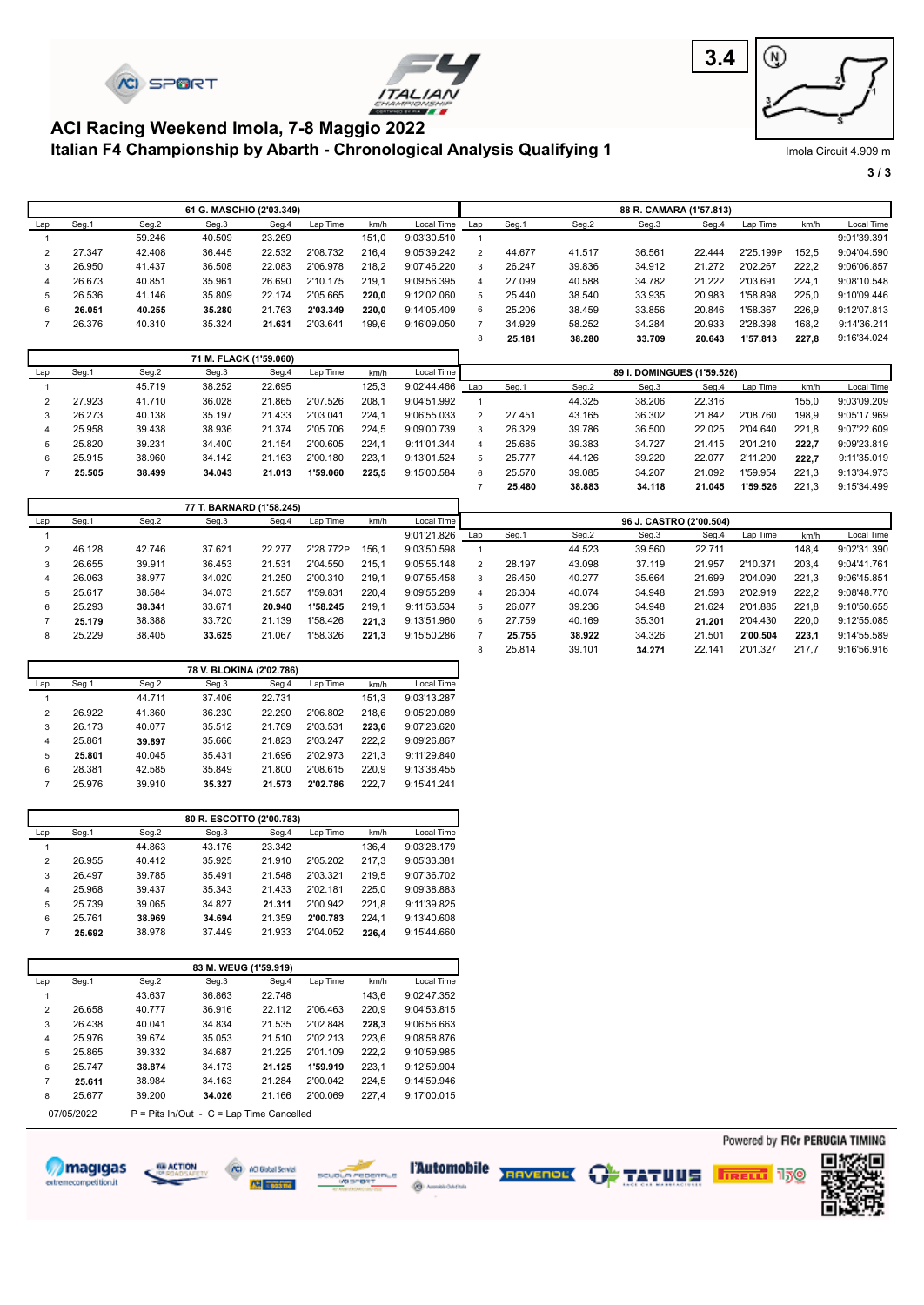





#### **Italian F4 Championship by Abarth - Chronological Analysis Qualifying 1 ACI Racing Weekend Imola, 7-8 Maggio 2022**

Imola Circuit 4.909 m

**3 / 3**

|                |        |        | 61 G. MASCHIO (2'03.349) |        |          |       |             |               |        |        | 88 R. CAMARA (1'57.813)    |        |           |       |             |
|----------------|--------|--------|--------------------------|--------|----------|-------|-------------|---------------|--------|--------|----------------------------|--------|-----------|-------|-------------|
| Lap            | Seg.1  | Seg.2  | Seg.3                    | Seg.4  | Lap Time | km/h  | Local Time  | Lap           | Seg.1  | Seg.2  | Seg.3                      | Seg.4  | Lap Time  | km/h  | Local Time  |
|                |        | 59.246 | 40.509                   | 23.269 |          | 151.0 | 9:03'30.510 |               |        |        |                            |        |           |       | 9:01'39.391 |
| $\overline{2}$ | 27.347 | 42.408 | 36.445                   | 22.532 | 2'08.732 | 216.4 | 9:05'39.242 | $\mathcal{P}$ | 44.677 | 41.517 | 36.561                     | 22.444 | 2'25.199P | 152.5 | 9:04'04.590 |
| 3              | 26.950 | 41.437 | 36.508                   | 22.083 | 2'06.978 | 218.2 | 9:07'46.220 | 3             | 26.247 | 39.836 | 34.912                     | 21.272 | 2'02.267  | 222,2 | 9:06'06.857 |
| 4              | 26.673 | 40.851 | 35.961                   | 26.690 | 2'10.175 | 219.1 | 9:09'56.395 | 4             | 27.099 | 40.588 | 34.782                     | 21.222 | 2'03.691  | 224.1 | 9:08'10.548 |
| 5              | 26.536 | 41.146 | 35.809                   | 22.174 | 2'05.665 | 220.0 | 9:12'02.060 | 5.            | 25.440 | 38.540 | 33.935                     | 20.983 | 1'58.898  | 225.0 | 9:10'09.446 |
| 6              | 26.051 | 40.255 | 35.280                   | 21.763 | 2'03.349 | 220.0 | 9:14'05.409 | 6             | 25.206 | 38.459 | 33.856                     | 20.846 | 1'58.367  | 226,9 | 9:12'07.813 |
|                | 26.376 | 40.310 | 35.324                   | 21.631 | 2'03.641 | 199,6 | 9:16'09.050 |               | 34.929 | 58.252 | 34.284                     | 20.933 | 2'28.398  | 168,2 | 9:14'36.211 |
|                |        |        |                          |        |          |       |             |               | 25.181 | 38.280 | 33.709                     | 20.643 | 1'57.813  | 227,8 | 9:16'34.024 |
|                |        |        | 71 M. FLACK (1'59.060)   |        |          |       |             |               |        |        |                            |        |           |       |             |
| Lap            | Seg.1  | Seg.2  | Seg.3                    | Seg.4  | Lap Time | km/h  | Local Time  |               |        |        | 89 I. DOMINGUES (1'59.526) |        |           |       |             |

| Lav | əeg. I | Seg.z  | oeg.o  | oeg.4  | Lab Time | KIIVII. | Local Time  |     |        |        | 69 I. DUMINGUES (1 69.546) |        |          |       |             |
|-----|--------|--------|--------|--------|----------|---------|-------------|-----|--------|--------|----------------------------|--------|----------|-------|-------------|
|     |        | 45.719 | 38.252 | 22.695 |          | 125,3   | 9:02'44.466 | Lap | Seg.1  | Seg.2  | Seg.3                      | Seg.4  | Lap Time | km/h  | Local Time  |
|     | 27.923 | 41.710 | 36.028 | 21.865 | 2'07.526 | 208.1   | 9:04'51.992 |     |        | 44.325 | 38.206                     | 22.316 |          | 155.0 | 9:03'09.209 |
|     | 26.273 | 40.138 | 35.197 | 21.433 | 2'03.041 | 224.1   | 9:06'55.033 |     | 27.451 | 43.165 | 36.302                     | 21.842 | 2'08.760 | 198,9 | 9:05'17.969 |
|     | 25.958 | 39.438 | 38.936 | 21.374 | 2'05.706 | 224.5   | 9:09'00.739 | 3   | 26.329 | 39.786 | 36.500                     | 22.025 | 2'04.640 | 221.8 | 9:07'22.609 |
| b.  | 25.820 | 39.231 | 34.400 | 21.154 | 2'00.605 | 224.1   | 9:11'01.344 |     | 25.685 | 39.383 | 34.727                     | 21.415 | 2'01.210 | 222.7 | 9:09'23.819 |
|     | 25.915 | 38.960 | 34.142 | 21.163 | 2'00.180 | 223.1   | 9:13'01.524 | 5   | 25,777 | 44.126 | 39.220                     | 22.077 | 2'11.200 | 222.7 | 9:11'35.019 |
|     | 25.505 | 38.499 | 34.043 | 21.013 | 1'59.060 | 225.5   | 9:15'00.584 | 6   | 25.570 | 39.085 | 34.207                     | 21.092 | 1'59.954 | 221.3 | 9:13'34.973 |
|     |        |        |        |        |          |         |             |     | 25.480 | 38.883 | 34.118                     | 21.045 | 1'59.526 | 221.3 | 9:15'34.499 |

|     |        |        | 77 T. BARNARD (1'58.245) |        |           |       |             |               |        |        |                         |        |          |       |             |
|-----|--------|--------|--------------------------|--------|-----------|-------|-------------|---------------|--------|--------|-------------------------|--------|----------|-------|-------------|
| Lap | Seg.1  | Seg.2  | Seg.3                    | Seg.4  | Lap Time  | km/h  | Local Time  |               |        |        | 96 J. CASTRO (2'00.504) |        |          |       |             |
|     |        |        |                          |        |           |       | 9:01'21.826 | Lap           | Seg.1  | Seg.2  | Seg.3                   | Seg.4  | Lap Time | km/h  | Local Time  |
|     | 46.128 | 42.746 | 37.621                   | 22,277 | 2'28.772P | 156.1 | 9:03'50.598 |               |        | 44.523 | 39.560                  | 22.711 |          | 148.4 | 9:02'31.390 |
|     | 26.655 | 39.911 | 36.453                   | 21.531 | 2'04.550  | 215.1 | 9:05'55.148 | $\mathcal{P}$ | 28.197 | 43.098 | 37.119                  | 21.957 | 2'10.371 | 203.4 | 9:04'41.761 |
|     | 26.063 | 38.977 | 34.020                   | 21.250 | 2'00.310  | 219.1 | 9:07'55.458 | 3             | 26.450 | 40.277 | 35.664                  | 21.699 | 2'04.090 | 221.3 | 9:06'45.851 |
|     | 25.617 | 38.584 | 34.073                   | 21.557 | '59.831   | 220.4 | 9:09'55.289 |               | 26.304 | 40.074 | 34.948                  | 21.593 | 2'02.919 | 222.2 | 9:08'48.770 |
| 6   | 25.293 | 38.341 | 33.671                   | 20.940 | 1'58.245  | 219.1 | 9:11'53.534 | 5             | 26.077 | 39.236 | 34.948                  | 21.624 | 2'01.885 | 221.8 | 9:10'50.655 |
|     | 25.179 | 38.388 | 33.720                   | 21.139 | '58.426   | 221.3 | 9:13'51.960 | 6             | 27.759 | 40.169 | 35.301                  | 21.201 | 2'04.430 | 220.0 | 9:12'55.085 |
| 8   | 25.229 | 38.405 | 33.625                   | 21.067 | 1'58.326  | 221.3 | 9:15'50.286 |               | 25.755 | 38.922 | 34.326                  | 21.501 | 2'00.504 | 223.1 | 9:14'55.589 |
|     |        |        |                          |        |           |       |             | 8             | 25.814 | 39.101 | 34.271                  | 22.141 | 2'01.327 | 217.7 | 9:16'56.916 |

|                |        |        | 78 V. BLOKINA (2'02.786) |        |          |       |             |
|----------------|--------|--------|--------------------------|--------|----------|-------|-------------|
| Lap            | Seg.1  | Seg.2  | Seg.3                    | Seg.4  | Lap Time | km/h  | Local Time  |
|                |        | 44.711 | 37.406                   | 22.731 |          | 151.3 | 9:03'13.287 |
| $\overline{2}$ | 26.922 | 41.360 | 36.230                   | 22.290 | 2'06.802 | 218.6 | 9:05'20.089 |
| 3              | 26.173 | 40.077 | 35.512                   | 21.769 | 2'03.531 | 223.6 | 9:07'23.620 |
| 4              | 25.861 | 39.897 | 35.666                   | 21.823 | 2'03.247 | 222.2 | 9:09'26.867 |
| 5              | 25.801 | 40.045 | 35.431                   | 21.696 | 2'02.973 | 221.3 | 9:11'29.840 |
| 6              | 28.381 | 42.585 | 35.849                   | 21.800 | 2'08.615 | 220.9 | 9:13'38.455 |
| 7              | 25.976 | 39.910 | 35.327                   | 21.573 | 2'02.786 | 222.7 | 9:15'41.241 |

|                |        |        | 80 R. ESCOTTO (2'00.783) |        |          |       |             |
|----------------|--------|--------|--------------------------|--------|----------|-------|-------------|
| Lap            | Seg.1  | Seg.2  | Seg.3                    | Seg.4  | Lap Time | km/h  | Local Time  |
|                |        | 44.863 | 43.176                   | 23.342 |          | 136.4 | 9:03'28.179 |
| $\overline{2}$ | 26.955 | 40.412 | 35.925                   | 21.910 | 2'05.202 | 217.3 | 9:05'33.381 |
| 3              | 26.497 | 39.785 | 35.491                   | 21.548 | 2'03.321 | 219.5 | 9:07'36.702 |
| $\overline{4}$ | 25.968 | 39.437 | 35.343                   | 21.433 | 2'02.181 | 225.0 | 9:09'38.883 |
| 5              | 25.739 | 39.065 | 34.827                   | 21.311 | 2'00.942 | 221.8 | 9:11'39.825 |
| 6              | 25.761 | 38.969 | 34.694                   | 21.359 | 2'00.783 | 224.1 | 9:13'40.608 |
| 7              | 25.692 | 38.978 | 37.449                   | 21.933 | 2'04.052 | 226.4 | 9:15'44.660 |

|                |            |        | 83 M. WEUG (1'59.919)                      |        |          |       |                   |
|----------------|------------|--------|--------------------------------------------|--------|----------|-------|-------------------|
| Lap            | Seg.1      | Seg.2  | Seg.3                                      | Seg.4  | Lap Time | km/h  | <b>Local Time</b> |
|                |            | 43.637 | 36.863                                     | 22.748 |          | 143.6 | 9:02'47.352       |
| 2              | 26.658     | 40.777 | 36.916                                     | 22.112 | 2'06.463 | 220,9 | 9:04'53.815       |
| 3              | 26.438     | 40.041 | 34.834                                     | 21.535 | 2'02.848 | 228.3 | 9:06'56.663       |
| 4              | 25.976     | 39.674 | 35.053                                     | 21.510 | 2'02.213 | 223.6 | 9:08'58.876       |
| 5              | 25.865     | 39.332 | 34.687                                     | 21.225 | 2'01.109 | 222,2 | 9:10'59.985       |
| 6              | 25.747     | 38.874 | 34.173                                     | 21.125 | 1'59.919 | 223.1 | 9:12'59.904       |
| $\overline{7}$ | 25.611     | 38.984 | 34.163                                     | 21.284 | 2'00.042 | 224,5 | 9:14'59.946       |
| 8              | 25.677     | 39.200 | 34.026                                     | 21.166 | 2'00.069 | 227.4 | 9:17'00.015       |
|                | 07/05/2022 |        | $P =$ Pits In/Out - C = Lap Time Cancelled |        |          |       |                   |











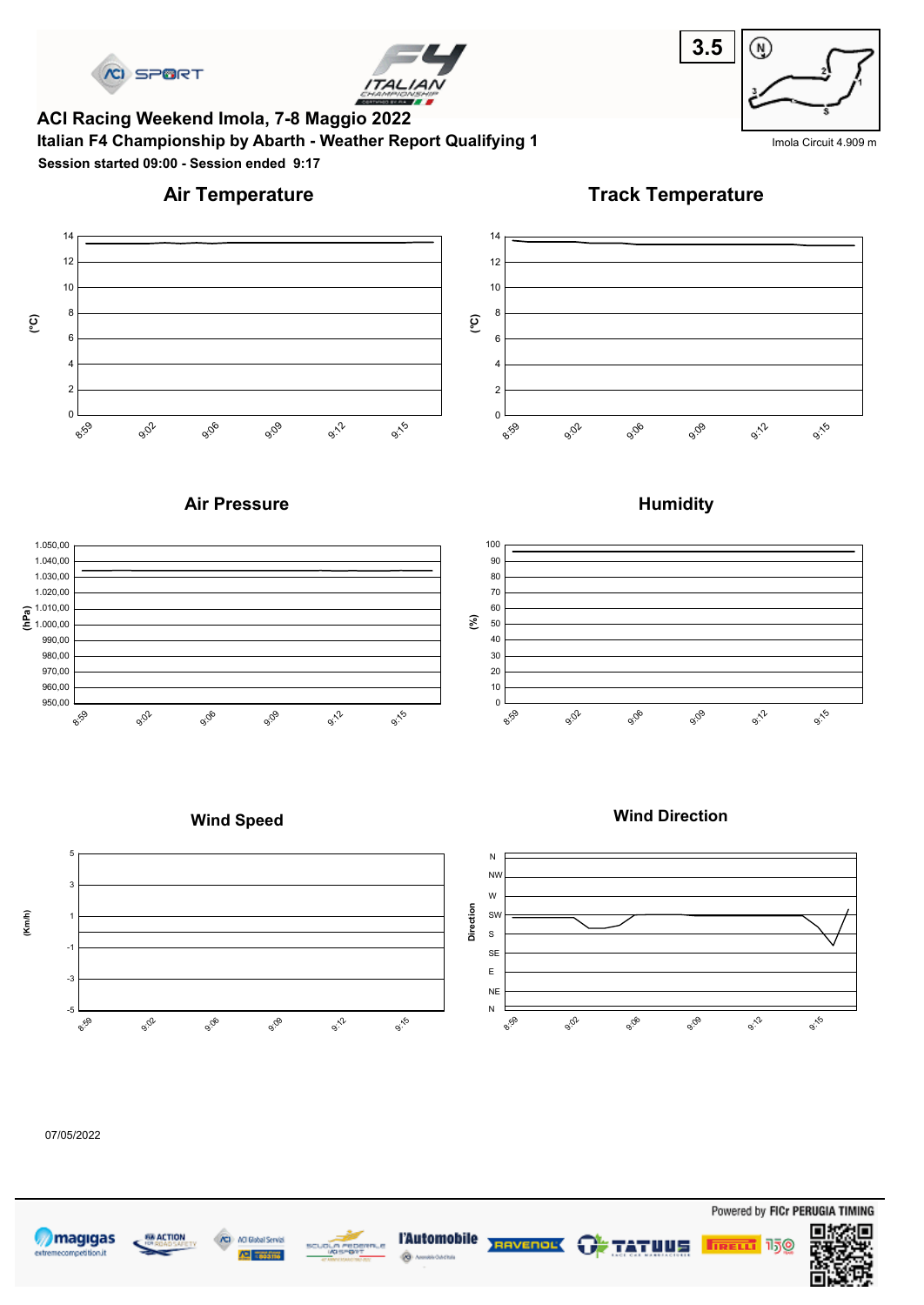



**Italian F4 Championship by Abarth - Weather Report Qualifying 1** India Clicuit 4.909 m **ACI Racing Weekend Imola, 7-8 Maggio 2022 Session started 09:00 - Session ended 9:17**



# **Air Temperature**

**Track Temperature**



#### **Air Pressure**



**Humidity**



**Wind Direction**

#### **Wind Speed**



#### 07/05/2022









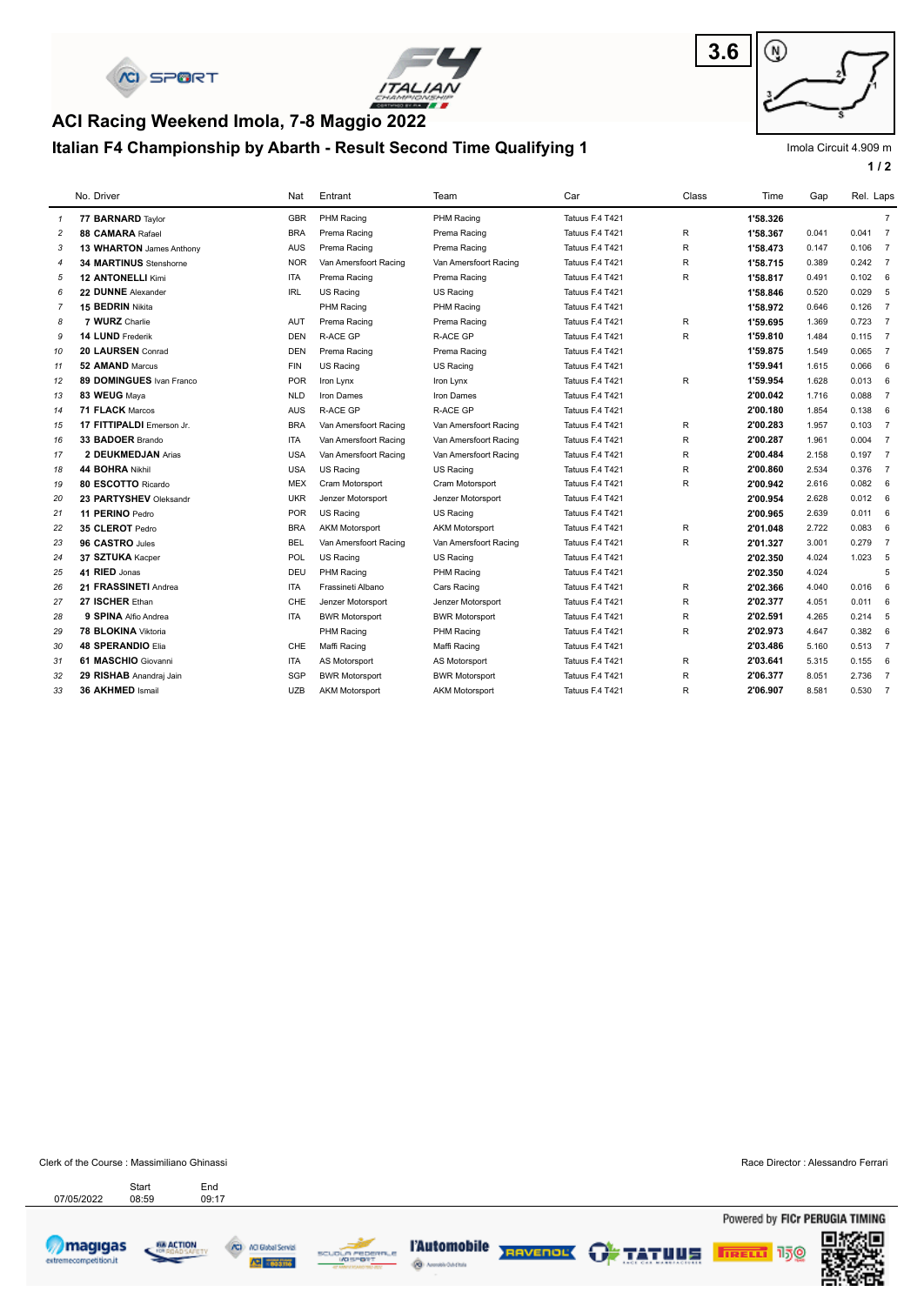



# **Italian F4 Championship by Abarth - Result Second Time Qualifying 1 ACI Racing Weekend Imola, 7-8 Maggio 2022**



Imola Circuit 4.909 m

**1 / 2**

|                | No. Driver                    | Nat        | Entrant               | Team                  | Car             | Class        | Time     | Gap   | Rel. Laps |                |
|----------------|-------------------------------|------------|-----------------------|-----------------------|-----------------|--------------|----------|-------|-----------|----------------|
| $\mathcal I$   | 77 BARNARD Taylor             | <b>GBR</b> | <b>PHM Racing</b>     | PHM Racing            | Tatuus F.4 T421 |              | 1'58.326 |       |           | $\overline{7}$ |
| $\overline{c}$ | 88 CAMARA Rafael              | <b>BRA</b> | Prema Racing          | Prema Racing          | Tatuus F.4 T421 | R            | 1'58.367 | 0.041 | 0.041 7   |                |
| 3              | 13 WHARTON James Anthony      | <b>AUS</b> | Prema Racing          | Prema Racing          | Tatuus F.4 T421 | $\mathsf{R}$ | 1'58.473 | 0.147 | $0.106$ 7 |                |
| $\overline{4}$ | <b>34 MARTINUS</b> Stenshorne | <b>NOR</b> | Van Amersfoort Racing | Van Amersfoort Racing | Tatuus F.4 T421 | R            | 1'58.715 | 0.389 | 0.242 7   |                |
| 5              | <b>12 ANTONELLI Kimi</b>      | <b>ITA</b> | Prema Racing          | Prema Racing          | Tatuus F.4 T421 | $\mathsf R$  | 1'58.817 | 0.491 | 0.102     | 6              |
| 6              | 22 DUNNE Alexander            | <b>IRL</b> | US Racing             | US Racing             | Tatuus F.4 T421 |              | 1'58.846 | 0.520 | 0.029     | 5              |
| $\overline{7}$ | 15 BEDRIN Nikita              |            | PHM Racing            | PHM Racing            | Tatuus F.4 T421 |              | 1'58.972 | 0.646 | 0.126     | $\overline{7}$ |
| 8              | 7 WURZ Charlie                | <b>AUT</b> | Prema Racing          | Prema Racing          | Tatuus F.4 T421 | R            | 1'59.695 | 1.369 | 0.723     | $\overline{7}$ |
| 9              | 14 LUND Frederik              | <b>DEN</b> | <b>R-ACE GP</b>       | <b>R-ACE GP</b>       | Tatuus F.4 T421 | $\mathsf{R}$ | 1'59.810 | 1.484 | $0.115$ 7 |                |
| 10             | 20 LAURSEN Conrad             | <b>DEN</b> | Prema Racing          | Prema Racing          | Tatuus F.4 T421 |              | 1'59.875 | 1.549 | $0.065$ 7 |                |
| 11             | 52 AMAND Marcus               | <b>FIN</b> | <b>US Racing</b>      | US Racing             | Tatuus F.4 T421 |              | 1'59.941 | 1.615 | 0.066     | 6              |
| 12             | 89 DOMINGUES Ivan Franco      | <b>POR</b> | Iron Lynx             | Iron Lynx             | Tatuus F.4 T421 | $\sf R$      | 1'59.954 | 1.628 | 0.013     | 6              |
| 13             | 83 WEUG Maya                  | <b>NLD</b> | Iron Dames            | Iron Dames            | Tatuus F.4 T421 |              | 2'00.042 | 1.716 | 0.088     | $\overline{7}$ |
| 14             | 71 FLACK Marcos               | <b>AUS</b> | <b>R-ACE GP</b>       | R-ACE GP              | Tatuus F.4 T421 |              | 2'00.180 | 1.854 | 0.138     | 6              |
| 15             | 17 FITTIPALDI Emerson Jr.     | <b>BRA</b> | Van Amersfoort Racing | Van Amersfoort Racing | Tatuus F.4 T421 | R            | 2'00.283 | 1.957 | 0.103     | $\overline{7}$ |
| 16             | 33 BADOER Brando              | <b>ITA</b> | Van Amersfoort Racing | Van Amersfoort Racing | Tatuus F.4 T421 | R            | 2'00.287 | 1.961 | 0.004     | $\overline{7}$ |
| 17             | 2 DEUKMEDJAN Arias            | <b>USA</b> | Van Amersfoort Racing | Van Amersfoort Racing | Tatuus F.4 T421 | $\mathsf{R}$ | 2'00.484 | 2.158 | 0.1977    |                |
| 18             | 44 BOHRA Nikhil               | <b>USA</b> | US Racing             | US Racing             | Tatuus F.4 T421 | $\mathsf R$  | 2'00.860 | 2.534 | 0.376 7   |                |
| 19             | 80 ESCOTTO Ricardo            | <b>MEX</b> | Cram Motorsport       | Cram Motorsport       | Tatuus F.4 T421 | $\sf R$      | 2'00.942 | 2.616 | 0.082     | 6              |
| 20             | 23 PARTYSHEV Oleksandr        | <b>UKR</b> | Jenzer Motorsport     | Jenzer Motorsport     | Tatuus F.4 T421 |              | 2'00.954 | 2.628 | 0.012     | 6              |
| 21             | 11 PERINO Pedro               | <b>POR</b> | US Racing             | US Racing             | Tatuus F.4 T421 |              | 2'00.965 | 2.639 | 0.011     | 6              |
| 22             | 35 CLEROT Pedro               | <b>BRA</b> | <b>AKM Motorsport</b> | <b>AKM Motorsport</b> | Tatuus F.4 T421 | R            | 2'01.048 | 2.722 | 0.083     | 6              |
| 23             | 96 CASTRO Jules               | <b>BEL</b> | Van Amersfoort Racing | Van Amersfoort Racing | Tatuus F.4 T421 | R            | 2'01.327 | 3.001 | 0.279     | $\overline{7}$ |
| 24             | 37 SZTUKA Kacper              | <b>POL</b> | <b>US Racing</b>      | US Racing             | Tatuus F.4 T421 |              | 2'02.350 | 4.024 | 1.023     | 5              |
| 25             | 41 RIED Jonas                 | DEU        | <b>PHM Racing</b>     | PHM Racing            | Tatuus F.4 T421 |              | 2'02.350 | 4.024 |           | 5              |
| 26             | 21 FRASSINETI Andrea          | <b>ITA</b> | Frassineti Albano     | Cars Racing           | Tatuus F.4 T421 | $\mathsf{R}$ | 2'02.366 | 4.040 | 0.016     | 6              |
| 27             | 27 ISCHER Ethan               | CHE        | Jenzer Motorsport     | Jenzer Motorsport     | Tatuus F.4 T421 | R            | 2'02.377 | 4.051 | 0.011     | 6              |
| 28             | 9 SPINA Alfio Andrea          | <b>ITA</b> | <b>BWR Motorsport</b> | <b>BWR Motorsport</b> | Tatuus F.4 T421 | R            | 2'02.591 | 4.265 | 0.214     | 5              |
| 29             | 78 BLOKINA Viktoria           |            | PHM Racing            | PHM Racing            | Tatuus F.4 T421 | R            | 2'02.973 | 4.647 | 0.382     | 6              |
| 30             | 48 SPERANDIO Elia             | CHE        | Maffi Racing          | Maffi Racing          | Tatuus F.4 T421 |              | 2'03.486 | 5.160 | $0.513$ 7 |                |
| 31             | 61 MASCHIO Giovanni           | <b>ITA</b> | AS Motorsport         | AS Motorsport         | Tatuus F.4 T421 | R            | 2'03.641 | 5.315 | 0.155     | 6              |
| 32             | 29 RISHAB Anandraj Jain       | SGP        | <b>BWR Motorsport</b> | <b>BWR Motorsport</b> | Tatuus F.4 T421 | $\mathsf{R}$ | 2'06.377 | 8.051 | 2.736 7   |                |
| 33             | 36 AKHMED Ismail              | <b>UZB</b> | <b>AKM Motorsport</b> | <b>AKM Motorsport</b> | Tatuus F.4 T421 | $\mathsf R$  | 2'06.907 | 8.581 | $0.530$ 7 |                |

Clerk of the Course : Massimiliano Ghinassi Race Director : Alessandro Ferrari Start End<br>07/05/2022 08:59 09:17 Start